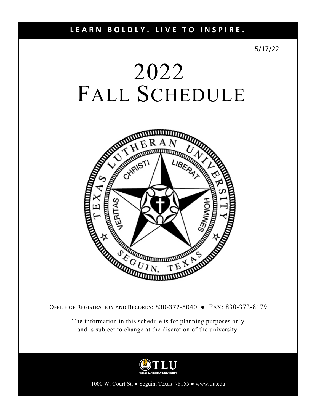5/17/22

# 2022 FALL SCHEDULE



OFFICE OF REGISTRATION AND RECORDS: 830‐372‐8040 ● FAX: 830-372-8179

The information in this schedule is for planning purposes only and is subject to change at the discretion of the university.



1000 W. Court St. ● Seguin, Texas 78155 ● www.tlu.edu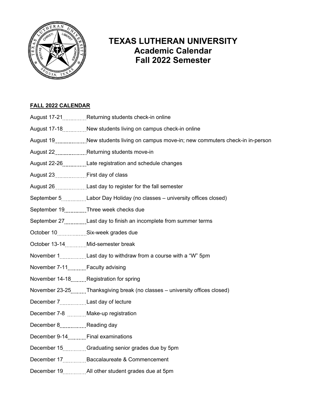

## **TEXAS LUTHERAN UNIVERSITY Academic Calendar Fall 2022 Semester**

## **FALL 2022 CALENDAR**

- August 17-21 \_\_\_\_\_\_\_\_\_\_ Returning students check-in online
- August 17-18..............New students living on campus check-in online
- August 19....................New students living on campus move-in; new commuters check-in in-person
- August 22 **Returning students move-in**
- August 22-26 **Music Late registration and schedule changes**
- August 23 First day of class
- August 26......................Last day to register for the fall semester
- September 5 Labor Day Holiday (no classes university offices closed)
- September 19 Three week checks due
- September 27..............Last day to finish an incomplete from summer terms
- October 10 Six-week grades due
- October 13-14 Mid-semester break
- November 1.................Last day to withdraw from a course with a "W" 5pm
- November 7-11...........Faculty advising
- November 14-18 Registration for spring
- November 23-25 .........Thanksgiving break (no classes university offices closed)
- December 7................Last day of lecture
- December 7-8 **Make-up registration**
- December 8................Reading day
- December 9-14 Final examinations
- December 15...............Graduating senior grades due by 5pm
- December 17 Baccalaureate & Commencement
- December 19 \_\_\_\_\_\_\_\_\_\_\_ All other student grades due at 5pm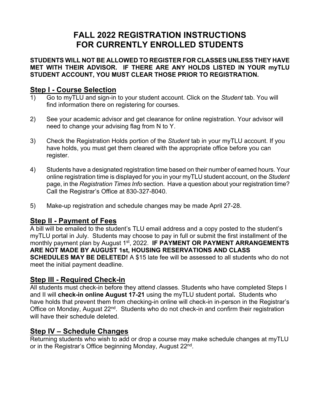## **FALL 2022 REGISTRATION INSTRUCTIONS FOR CURRENTLY ENROLLED STUDENTS**

**STUDENTS WILL NOT BE ALLOWED TO REGISTER FOR CLASSES UNLESS THEY HAVE MET WITH THEIR ADVISOR. IF THERE ARE ANY HOLDS LISTED IN YOUR myTLU STUDENT ACCOUNT, YOU MUST CLEAR THOSE PRIOR TO REGISTRATION.** 

## **Step I - Course Selection**

- 1) Go to myTLU and sign-in to your student account. Click on the *Student* tab. You will find information there on registering for courses.
- 2) See your academic advisor and get clearance for online registration. Your advisor will need to change your advising flag from N to Y.
- 3) Check the Registration Holds portion of the *Student* tab in your myTLU account. If you have holds, you must get them cleared with the appropriate office before you can register.
- 4) Students have a designated registration time based on their number of earned hours. Your online registration time is displayed for you in your myTLU student account, on the *Student* page, in the *Registration Times Info* section. Have a question about your registration time? Call the Registrar's Office at 830-327-8040.
- 5) Make-up registration and schedule changes may be made April 27-28.

## **Step II - Payment of Fees**

A bill will be emailed to the student's TLU email address and a copy posted to the student's myTLU portal in July. Students may choose to pay in full or submit the first installment of the monthly payment plan by August 1<sup>st</sup>, 2022. **IF PAYMENT OR PAYMENT ARRANGEMENTS ARE NOT MADE BY AUGUST 1st, HOUSING RESERVATIONS AND CLASS SCHEDULES MAY BE DELETED!** A \$15 late fee will be assessed to all students who do not meet the initial payment deadline.

## **Step III - Required Check-in**

All students must check-in before they attend classes. Students who have completed Steps I and II will **check-in online August 17-21** using the myTLU student portal**.** Students who have holds that prevent them from checking-in online will check-in in-person in the Registrar's Office on Monday, August 22<sup>nd</sup>. Students who do not check-in and confirm their registration will have their schedule deleted.

## **Step IV – Schedule Changes**

Returning students who wish to add or drop a course may make schedule changes at myTLU or in the Registrar's Office beginning Monday, August 22nd.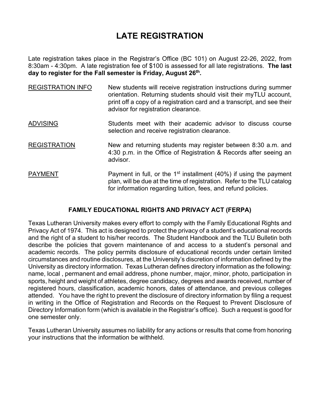## **LATE REGISTRATION**

Late registration takes place in the Registrar's Office (BC 101) on August 22-26, 2022, from 8:30am - 4:30pm. A late registration fee of \$100 is assessed for all late registrations. **The last day to register for the Fall semester is Friday, August 26th.** 

| <b>REGISTRATION INFO</b> | New students will receive registration instructions during summer<br>orientation. Returning students should visit their myTLU account,<br>print off a copy of a registration card and a transcript, and see their<br>advisor for registration clearance. |
|--------------------------|----------------------------------------------------------------------------------------------------------------------------------------------------------------------------------------------------------------------------------------------------------|
| <b>ADVISING</b>          | Students meet with their academic advisor to discuss course<br>selection and receive registration clearance.                                                                                                                                             |
| <b>REGISTRATION</b>      | New and returning students may register between 8:30 a.m. and<br>4:30 p.m. in the Office of Registration & Records after seeing an<br>advisor.                                                                                                           |
| <b>PAYMENT</b>           | Payment in full, or the 1 <sup>st</sup> installment (40%) if using the payment<br>plan, will be due at the time of registration. Refer to the TLU catalog<br>for information regarding tuition, fees, and refund policies.                               |

## **FAMILY EDUCATIONAL RIGHTS AND PRIVACY ACT (FERPA)**

Texas Lutheran University makes every effort to comply with the Family Educational Rights and Privacy Act of 1974. This act is designed to protect the privacy of a student's educational records and the right of a student to his/her records. The Student Handbook and the TLU Bulletin both describe the policies that govern maintenance of and access to a student's personal and academic records. The policy permits disclosure of educational records under certain limited circumstances and routine disclosures, at the University's discretion of information defined by the University as directory information. Texas Lutheran defines directory information as the following: name, local , permanent and email address, phone number, major, minor, photo, participation in sports, height and weight of athletes, degree candidacy, degrees and awards received, number of registered hours, classification, academic honors, dates of attendance, and previous colleges attended. You have the right to prevent the disclosure of directory information by filing a request in writing in the Office of Registration and Records on the Request to Prevent Disclosure of Directory Information form (which is available in the Registrar's office). Such a request is good for one semester only.

Texas Lutheran University assumes no liability for any actions or results that come from honoring your instructions that the information be withheld.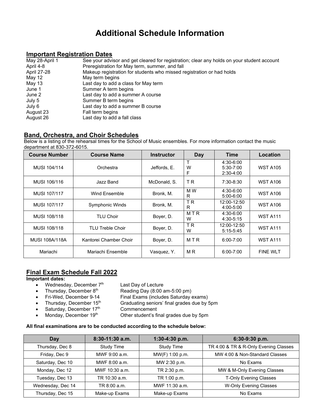## **Additional Schedule Information**

## **Important Registration Dates**

| May 28-April 1 | See your advisor and get cleared for registration; clear any holds on your student account |
|----------------|--------------------------------------------------------------------------------------------|
| April 4-8      | Preregistration for May term, summer, and fall                                             |
| April 27-28    | Makeup registration for students who missed registration or had holds                      |
| May 12         | May term begins                                                                            |
| May 13         | Last day to add a class for May term                                                       |
| June 1         | Summer A term begins                                                                       |
| June 2         | Last day to add a summer A course                                                          |
| July 5         | Summer B term begins                                                                       |
| July 6         | Last day to add a summer B course                                                          |
| August 23      | Fall term begins                                                                           |
| August 26      | Last day to add a fall class                                                               |

## **Band, Orchestra, and Choir Schedules**

Below is a listing of the rehearsal times for the School of Music ensembles. For more information contact the music department at 830-372-6015.

| <b>Course Number</b> | <b>Course Name</b>      | <b>Instructor</b> | Day                 | <b>Time</b>                               | Location        |
|----------------------|-------------------------|-------------------|---------------------|-------------------------------------------|-----------------|
| MUSI 104/114         | Orchestra               | Jeffords, E.      | т<br>W<br>F         | 4:30-6:00<br>$5:30 - 7:00$<br>$2:30-4:00$ | <b>WST A105</b> |
| MUSI 106/116         | Jazz Band               | McDonald, S.      | T <sub>R</sub>      | 7:30-8:30                                 | <b>WST A106</b> |
| MUSI 107/117         | Wind Ensemble           | Bronk, M.         | M W<br>R            | 4:30-6:00<br>$5:00 - 6:00$                | <b>WST A106</b> |
| MUSI 107/117         | Symphonic Winds         | Bronk, M.         | T <sub>R</sub><br>R | 12:00-12:50<br>$4:00 - 5:00$              | <b>WST A106</b> |
| MUSI 108/118         | <b>TLU Choir</b>        | Boyer, D.         | MTR<br>W            | $4:30 - 6:00$<br>4:30-5:15                | <b>WST A111</b> |
| MUSI 108/118         | <b>TLU Treble Choir</b> | Boyer, D.         | <b>TR</b><br>W      | 12:00-12:50<br>$5:15 - 5:45$              | <b>WST A111</b> |
| MUSI 108A/118A       | Kantorei Chamber Choir  | Boyer, D.         | MTR                 | $6:00 - 7:00$                             | <b>WST A111</b> |
| Mariachi             | Mariachi Ensemble       | Vasquez, Y.       | M R                 | $6:00 - 7:00$                             | <b>FINE WLT</b> |

## **Final Exam Schedule Fall 2022**

## **Important dates:**

- Wednesday, December  $7<sup>th</sup>$  Last Day of Lecture
	-
- Thursday, December  $8<sup>th</sup>$  Reading Day (8:00 am-5:00 pm)
- Fri-Wed, December 9-14 Final Exams (includes Saturday exams)
- Thursday, December  $15<sup>th</sup>$  Graduating seniors' final grades due by 5pm
- Saturday, December  $17<sup>th</sup>$  Commencement
- 
- Monday, December  $19<sup>th</sup>$  Other student's final grades due by 5pm

## **All final examinations are to be conducted according to the schedule below:**

| Day               | 8:30-11:30 a.m.   | $1:30-4:30$ p.m.  | 6:30-9:30 p.m.                        |
|-------------------|-------------------|-------------------|---------------------------------------|
| Thursday, Dec 8   | <b>Study Time</b> | <b>Study Time</b> | TR 4:00 & TR & R-Only Evening Classes |
| Friday, Dec 9     | MWF 9:00 a.m.     | MW(F) 1:00 p.m.   | MW 4:00 & Non-Standard Classes        |
| Saturday, Dec 10  | MWF 8:00 a.m.     | MW 2:30 p.m.      | No Exams                              |
| Monday, Dec 12    | MWF 10:30 a.m.    | TR 2:30 p.m.      | MW & M-Only Evening Classes           |
| Tuesday, Dec 13   | TR 10:30 a.m.     | TR 1:00 p.m.      | <b>T-Only Evening Classes</b>         |
| Wednesday, Dec 14 | TR 8:00 a.m.      | MWF 11:30 a.m.    | <b>W-Only Evening Classes</b>         |
| Thursday, Dec 15  | Make-up Exams     | Make-up Exams     | No Exams                              |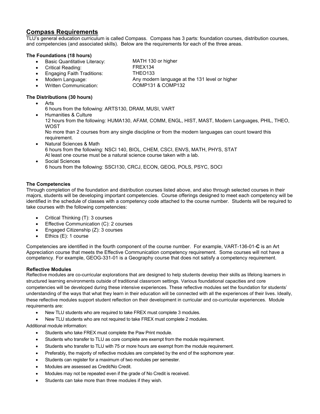## **Compass Requirements**

TLU's general education curriculum is called Compass. Compass has 3 parts: foundation courses, distribution courses, and competencies (and associated skills). Below are the requirements for each of the three areas.

## **The Foundations (18 hours)**

- Basic Quantitative Literacy: MATH 130 or higher
- Critical Reading: FREX134

- Engaging Faith Traditions: THEO133
- 
- 

Modern Language: Any modern language at the 131 level or higher

Written Communication: COMP131 & COMP132

## **The Distributions (30 hours)**

- Arts
	- 6 hours from the following: ARTS130, DRAM, MUSI, VART
- Humanities & Culture

12 hours from the following: HUMA130, AFAM, COMM, ENGL, HIST, MAST, Modern Languages, PHIL, THEO, WOST

No more than 2 courses from any single discipline or from the modern languages can count toward this requirement.

- Natural Sciences & Math 6 hours from the following: NSCI 140, BIOL, CHEM, CSCI, ENVS, MATH, PHYS, STAT At least one course must be a natural science course taken with a lab.
- Social Sciences 6 hours from the following: SSCI130, CRCJ, ECON, GEOG, POLS, PSYC, SOCI

## **The Competencies**

Through completion of the foundation and distribution courses listed above, and also through selected courses in their majors, students will be developing important competencies. Course offerings designed to meet each competency will be identified in the schedule of classes with a competency code attached to the course number. Students will be required to take courses with the following competencies:

- Critical Thinking (T): 3 courses
- **Effective Communication (C): 2 courses**
- Engaged Citizenship (Z): 3 courses
- Ethics (E): 1 course

Competencies are identified in the fourth component of the course number. For example, VART-136-01-**C** is an Art Appreciation course that meets the Effective Communication competency requirement. Some courses will not have a competency. For example, GEOG-331-01 is a Geography course that does not satisfy a competency requirement.

## **Reflective Modules**

Reflective modules are co-curricular explorations that are designed to help students develop their skills as lifelong learners in structured learning environments outside of traditional classroom settings. Various foundational capacities and core competencies will be developed during these intensive experiences. These reflective modules set the foundation for students' understanding of the ways that what they learn in their education will be connected with all the experiences of their lives. Ideally, these reflective modules support student reflection on their development in curricular and co-curricular experiences. Module requirements are:

- New TLU students who are required to take FREX must complete 3 modules.
- New TLU students who are not required to take FREX must complete 2 modules.

Additional module information:

- Students who take FREX must complete the Paw Print module.
- Students who transfer to TLU as core complete are exempt from the module requirement.
- Students who transfer to TLU with 75 or more hours are exempt from the module requirement.
- Preferably, the majority of reflective modules are completed by the end of the sophomore year.
- Students can register for a maximum of two modules per semester.
- Modules are assessed as Credit/No Credit.
- Modules may not be repeated even if the grade of No Credit is received.
- Students can take more than three modules if they wish.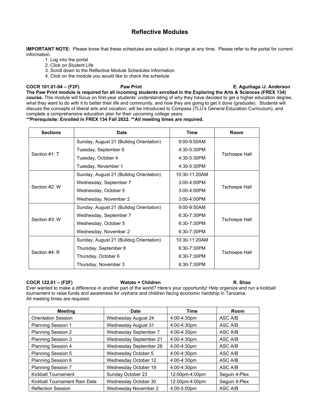**IMPORTANT NOTE:** Please know that these schedules are subject to change at any time. Please refer to the portal for current information.

- 1. Log into the portal
- 2. Click on Student Life
- 3. Scroll down to the Reflective Module Schedules Information
- 4. Click on the module you would like to check the schedule

**COCR 101.01-04 – (F2F) Paw Print E. Aguiñaga /J. Anderson The Paw Print module is required for all incoming students enrolled in the Exploring the Arts & Sciences (FREX 134) course.** This module will focus on first-year students' understanding of *why* they have decided to get a higher education degree, *what* they want to do with it to better their life and community, and *how* they are going to get it done (graduate). Students will discuss the concepts of liberal arts and vocation, will be introduced to Compass (TLU's General Education Curriculum), and complete a comprehensive education plan for their upcoming college years.

### **\*\*Prerequisite: Enrolled in FREX 134 Fall 2022. \*\*All meeting times are required.**

| <b>Sections</b> | <b>Date</b>                             | <b>Time</b>      | <b>Room</b>   |  |
|-----------------|-----------------------------------------|------------------|---------------|--|
|                 | Sunday, August 21 (Bulldog Orientation) | 9:00-9:50AM      |               |  |
|                 | Tuesday, September 6                    | 4:30-5:30PM      | Tschoepe Hall |  |
| Section #1: T   | Tuesday, October 4                      | 4:30-5:30PM      |               |  |
|                 | Tuesday, November 1                     | 4:30-5:30PM      |               |  |
|                 | Sunday, August 21 (Bulldog Orientation) | 10:30-11:20AM    |               |  |
|                 | Wednesday, September 7                  | $3:00-4:00$ PM   |               |  |
| Section #2: W   | Wednesday, October 5                    | $3:00-4:00$ PM   | Tschoepe Hall |  |
|                 | Wednesday, November 2                   | $3:00-4:00$ PM   |               |  |
|                 | Sunday, August 21 (Bulldog Orientation) | 9:00-9:50AM      |               |  |
| Section #3: W   | Wednesday, September 7                  | $6:30 - 7:30$ PM |               |  |
|                 | Wednesday, October 5                    | 6:30-7:30PM      | Tschoepe Hall |  |
|                 | Wednesday, November 2                   | 6:30-7:30PM      |               |  |
| Section #4: R   | Sunday, August 21 (Bulldog Orientation) | 10:30-11:20AM    |               |  |
|                 | Thursday, September 8                   | 6:30-7:30PM      |               |  |
|                 | Thursday, October 6                     | 6:30-7:30PM      | Tschoepe Hall |  |
|                 | Thursday, November 3                    | 6:30-7:30PM      |               |  |

### **COCR 122.01 – (F2F) Watoto = Children R. Shao**

Ever wanted to make a difference in another part of the world? Here's your opportunity! Help organize and run a kickball tournament to raise funds and awareness for orphans and children facing economic hardship in Tanzania. All meeting times are required.

| <b>Meeting</b>                | Date                   | <b>Time</b>    | <b>Room</b>   |
|-------------------------------|------------------------|----------------|---------------|
| <b>Orientation Session</b>    | Wednesday August 24    | 4:00-4:30pm    | ASC A/B       |
| <b>Planning Session 1</b>     | Wednesday August 31    | 4:00-4:30pm    | ASC A/B       |
| <b>Planning Session 2</b>     | Wednesday September 7  | 4:00-4:30pm    | ASC A/B       |
| <b>Planning Session 3</b>     | Wednesday September 21 | 4:00-4:30pm    | ASC A/B       |
| <b>Planning Session 4</b>     | Wednesday September 28 | 4:00-4:30pm    | ASC A/B       |
| <b>Planning Session 5</b>     | Wednesday October 5    | 4:00-4:30pm    | ASC A/B       |
| Planning Session 6            | Wednesday October 12   | 4:00-4:30pm    | ASC A/B       |
| <b>Planning Session 7</b>     | Wednesday October 19   | 4:00-4:30pm    | ASC A/B       |
| <b>Kickball Tournament</b>    | Sunday October 23      | 12:00pm-4:00pm | Sequin 4-Plex |
| Kickball Tournament Rain Date | Wednesday October 30   | 12:00pm-4:00pm | Seguin 4-Plex |
| <b>Reflection Session</b>     | Wednesday November 2   | 4:00-5:00pm    | ASC A/B       |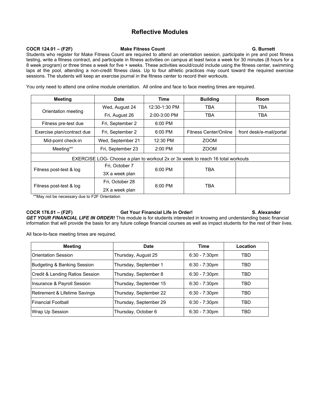## **COCR 124.01 – (F2F) Make Fitness Count G. Burnett**

Students who register for Make Fitness Count are required to attend an orientation session, participate in pre and post fitness testing, write a fitness contract, and participate in fitness activities on campus at least twice a week for 30 minutes (8 hours for a 8 week program) or three times a week for five + weeks. These activities would/could include using the fitness center, swimming laps at the pool, attending a non-credit fitness class. Up to four athletic practices may count toward the required exercise sessions. The students will keep an exercise journal in the fitness center to record their workouts.

You only need to attend one online module orientation. All online and face to face meeting times are required.

| <b>Meeting</b>             | <b>Date</b>       | <b>Time</b>    | <b>Building</b>                                                                 | <b>Room</b>              |  |
|----------------------------|-------------------|----------------|---------------------------------------------------------------------------------|--------------------------|--|
| Orientation meeting        | Wed, August 24    | 12:30-1:30 PM  | TBA                                                                             | <b>TBA</b>               |  |
|                            | Fri, August 26    | $2:00-3:00$ PM | TBA                                                                             | TBA                      |  |
| Fitness pre-test due       | Fri, September 2  | 6:00 PM        |                                                                                 |                          |  |
| Exercise plan/contract due | Fri, September 2  | 6:00 PM        | Fitness Center/Online                                                           | front desk/e-mail/portal |  |
| Mid-point check-in         | Wed, September 21 | 12:30 PM       | <b>ZOOM</b>                                                                     |                          |  |
| Meeting**                  | Fri, September 23 | 2:00 PM        | <b>ZOOM</b>                                                                     |                          |  |
|                            |                   |                | EXERCISE LOG- Choose a plan to workout 2x or 3x week to reach 16 total workouts |                          |  |
| Fitness post-test & log    | Fri, October 7    |                | 6:00 PM                                                                         | TBA                      |  |
|                            | 3X a week plan    |                |                                                                                 |                          |  |
| Fitness post-test & log    | Fri. October 28   | 6:00 PM        | TBA                                                                             |                          |  |
|                            | 2X a week plan    |                |                                                                                 |                          |  |

\*\*May not be necessary due to F2F Orientation

## **COCR 176.01 – (F2F) Get Your Financial Life in Order! S. Alexander**

*GET YOUR FINANCIAL LIFE IN ORDER!* This module is for students interested in knowing and understanding basic financial information that will provide the basis for any future college financial courses as well as impact students for the rest of their lives.

All face-to-face meeting times are required.

| <b>Meeting</b>                  | Date                   | <b>Time</b>      | Location |
|---------------------------------|------------------------|------------------|----------|
| <b>Orientation Session</b>      | Thursday, August 25    | $6:30 - 7:30$ pm | TBD      |
| Budgeting & Banking Session     | Thursday, September 1  | $6:30 - 7:30$ pm | TBD      |
| Credit & Lending Ratios Session | Thursday, September 8  | $6:30 - 7:30$ pm | TBD      |
| Insurance & Payroll Session     | Thursday, September 15 | $6:30 - 7:30$ pm | TBD      |
| Retirement & Lifetime Savings   | Thursday, September 22 | $6:30 - 7:30$ pm | TBD      |
| l Financial Football            | Thursday, September 29 | $6:30 - 7:30$ pm | TBD      |
| Wrap Up Session                 | Thursday, October 6    | $6:30 - 7:30$ pm | TBD      |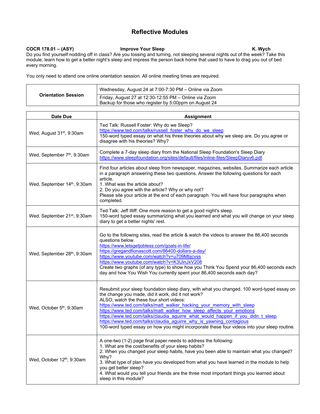## COCR 178.01 – (ASY) **Improve Your Sleep** K. Wych

Do you find yourself nodding off in class? Are you tossing and turning, not sleeping several nights out of the week? Take this module, learn how to get a better night's sleep and impress the person back home that used to have to drag you out of bed every morning.

You only need to attend one online orientation session. All online meeting times are required.

| <b>Orientation Session</b> | Wednesday, August 24 at 7:00-7:30 PM - Online via Zoom                                                         |
|----------------------------|----------------------------------------------------------------------------------------------------------------|
|                            | Friday, August 27 at 12:30-12:55 PM - Online via Zoom<br>Backup for those who register by 5:00ppm on August 24 |

| Date Due                                 | <b>Assignment</b>                                                                                                                                                                                                                                                                                                                                                                                                                                                                                                                                                                                       |
|------------------------------------------|---------------------------------------------------------------------------------------------------------------------------------------------------------------------------------------------------------------------------------------------------------------------------------------------------------------------------------------------------------------------------------------------------------------------------------------------------------------------------------------------------------------------------------------------------------------------------------------------------------|
| Wed, August 31 <sup>st</sup> , 9:30am    | Ted Talk: Russell Foster: Why do we Sleep?<br>https://www.ted.com/talks/russell foster why do we sleep<br>150-word typed essay on what his three theories about why we sleep are. Do you agree or<br>disagree with his theories? Why?                                                                                                                                                                                                                                                                                                                                                                   |
| Wed, September 7 <sup>th</sup> , 9:30am  | Complete a 7-day sleep diary from the National Sleep Foundation's Sleep Diary<br>https://www.sleepfoundation.org/sites/default/files/inline-files/SleepDiaryv6.pdf                                                                                                                                                                                                                                                                                                                                                                                                                                      |
| Wed, September 14th, 9:30am              | Find four articles about sleep from newspaper, magazines, websites. Summarize each article<br>in a paragraph answering these two questions. Answer the following questions for each<br>article.<br>1. What was the article about?<br>2. Do you agree with the article? Why or why not?<br>Please site your article at the end of each paragraph. You will have four paragraphs when<br>completed.                                                                                                                                                                                                       |
| Wed, September 21 <sup>st</sup> , 9:30am | Ted Talk: Jeff Illiff: One more reason to get a good night's sleep.<br>150-word typed essay summarizing what you learned and what you will change on your sleep<br>diary to get a better nights' rest.                                                                                                                                                                                                                                                                                                                                                                                                  |
| Wed, September 28th, 9:30am              | Go to the following sites, read the article & watch the videos to answer the 86,400 seconds<br>questions below.<br>https://www.letsgetjobless.com/goals-in-life/<br>https://gregandfionascott.com/86400-dollars-a-day/<br>https://www.youtube.com/watch?v=u709Mbjcvss<br>https://www.youtube.com/watch?v=K3UinJxV208<br>Create two graphs (of any type) to show how you Think You Spend your 86,400 seconds each<br>day and how You Wish You currently spent your 86,400 seconds each day?                                                                                                              |
| Wed, October 5 <sup>th</sup> , 9:30am    | Resubmit your sleep foundation sleep diary, with what you changed. 100 word-typed essay on<br>the change you made, did it work, did it not work?<br>ALSO, watch the these four short videos:<br>https://www.ted.com/talks/matt_walker_hacking_your_memory_with_sleep<br>https://www.ted.com/talks/matt_walker_how_sleep_affects_your_emotions<br>https://www.ted.com/talks/claudia aguirre what would happen if you didn t sleep<br>https://www.ted.com/talks/claudia aguirre why is yawning contagious<br>100-word typed essay on how you might incorporate these four videos into your sleep routine. |
| Wed, October 12 <sup>th</sup> , 9:30am   | A one-two (1-2) page final paper needs to address the following:<br>1. What are the cost/benefits of your sleep habits?<br>2. When you changed your sleep habits, have you been able to maintain what you changed?<br>Why?<br>3. What type of plan have you developed from what you have learned in the module to help<br>you get better sleep?<br>4. What would you tell your friends are the three most important things you learned about<br>sleep in this module?                                                                                                                                   |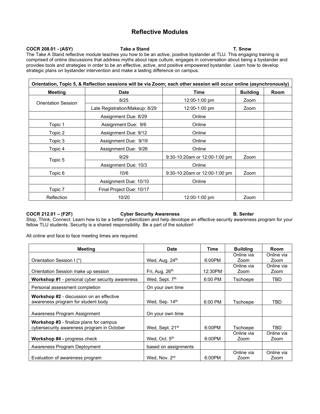## COCR 208.01 - (ASY) Take a Stand T. Snow

The Take A Stand reflective module teaches you how to be an active, positive bystander at TLU. This engaging training is comprised of online discussions that address myths about rape culture, engages in conversation about being a bystander and provides tools and strategies in order to be an effective, active, and positive empowered bystander. Learn how to develop strategic plans on bystander intervention and make a lasting difference on campus.

| Orientation, Topic 5, & Reflection sessions will be via Zoom; each other session will occur online (asynchronously) |                                |                               |                 |      |  |
|---------------------------------------------------------------------------------------------------------------------|--------------------------------|-------------------------------|-----------------|------|--|
| <b>Meeting</b>                                                                                                      | <b>Date</b>                    | Time                          | <b>Building</b> | Room |  |
| <b>Orientation Session</b>                                                                                          | 8/25                           | 12:00-1:00 pm                 | Zoom            |      |  |
|                                                                                                                     | Late Registration/Makeup: 8/29 | 12:00-1:00 pm                 | Zoom            |      |  |
|                                                                                                                     | Assignment Due: 8/29           | Online                        |                 |      |  |
| Topic 1                                                                                                             | Assignment Due: 9/6            | Online                        |                 |      |  |
| Topic 2                                                                                                             | Assignment Due: 9/12           | Online                        |                 |      |  |
| Topic 3                                                                                                             | Assignment Due: 9/19           | Online                        |                 |      |  |
| Topic 4                                                                                                             | Assignment Due: 9/26           | Online                        |                 |      |  |
| Topic 5                                                                                                             | 9/29                           | 9:30-10:20am or 12:00-1:00 pm | Zoom            |      |  |
|                                                                                                                     | Assignment Due: 10/3           | Online                        |                 |      |  |
| Topic 6                                                                                                             | 10/6                           | 9:30-10:20am or 12:00-1:00 pm | Zoom            |      |  |
|                                                                                                                     | Assignment Due: 10/10          | Online                        |                 |      |  |
| Topic 7                                                                                                             | Final Project Due: 10/17       |                               |                 |      |  |
| Reflection                                                                                                          | 10/20                          | 12:00-1:00 pm                 | Zoom            |      |  |

### **COCR 212.01 – (F2F) Cyber Security Awareness B. Senter**

Stop, Think, Connect. Learn how to be a better cybercitizen and help devolope an effective security awareness program for your fellow TLU students. Security is a shared responsibility. Be a part of the solution!

All online and face to face meeting times are required.

| Meeting                                                                                      | Date                        | Time    | <b>Building</b>    | Room               |
|----------------------------------------------------------------------------------------------|-----------------------------|---------|--------------------|--------------------|
|                                                                                              |                             |         | Online via         | Online via         |
| Orientation Session I (*)                                                                    | Wed, Aug. 24th              | 6:00PM  | Zoom               | Zoom               |
|                                                                                              |                             |         | Online via         | Online via         |
| Orientation Session make up session                                                          | Fri, Aug. $26th$            | 12:30PM | Zoom               | Zoom               |
| <b>Workshop #1</b> - personal cyber security awareness                                       | Wed, Sept. 7th              | 6:00 PM | Tschoepe           | TBD.               |
| Personal assessment completion                                                               | On your own time            |         |                    |                    |
| <b>Workshop #2</b> - discussion on an effective<br>awareness program for student body        | Wed, Sep. 14th              | 6:00 PM | Tschoepe           | TBD                |
| Awareness Program Assignment                                                                 | On your own time            |         |                    |                    |
| <b>Workshop #3</b> - finalize plans for campus<br>cybersecurity awareness program in October | Wed, Sept. 21 <sup>st</sup> | 6:00PM  | Tschoepe           | TBD.               |
| <b>Workshop #4 - progress check</b>                                                          | Wed, Oct. 5 <sup>th</sup>   | 6:00PM  | Online via<br>Zoom | Online via<br>Zoom |
| Awareness Program Deployment                                                                 | based on assignments        |         |                    |                    |
| Evaluation of awareness program                                                              | Wed. Nov. 2rd               | 6:00PM  | Online via<br>Zoom | Online via<br>Zoom |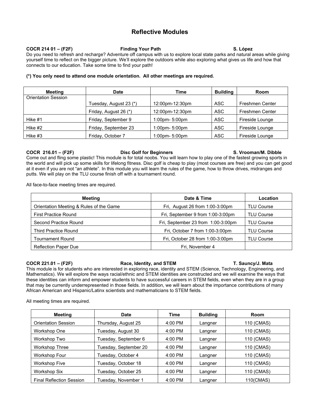## **COCR 214 01 – (F2F) Finding Your Path S. López**

Do you need to refresh and recharge? Adventure off campus with us to explore local state parks and natural areas while giving yourself time to reflect on the bigger picture. We'll explore the outdoors while also exploring what gives us life and how that connects to our education. Take some time to find your path!

### **(\*) You only need to attend one module orientation. All other meetings are required.**

| <b>Meeting</b>             | <b>Date</b>            | Time                 | <b>Building</b> | <b>Room</b>            |
|----------------------------|------------------------|----------------------|-----------------|------------------------|
| <b>Orientation Session</b> |                        |                      |                 |                        |
|                            | Tuesday, August 23 (*) | 12:00pm-12:30pm      | ASC             | <b>Freshmen Center</b> |
|                            | Friday, August 26 (*)  | 12:00pm-12:30pm      | <b>ASC</b>      | <b>Freshmen Center</b> |
| Hike #1                    | Friday, September 9    | $1:00$ pm- $5:00$ pm | ASC             | Fireside Lounge        |
| Hike #2                    | Friday, September 23   | $1:00$ pm- $5:00$ pm | <b>ASC</b>      | Fireside Lounge        |
| Hike #3                    | Friday, October 7      | $1:00$ pm- $5:00$ pm | <b>ASC</b>      | Fireside Lounge        |

## **COCR 216.01 – (F2F) Disc Golf for Beginners S. Vrooman/M. Dibble**

Come out and fling some plastic! This module is for total noobs. You will learn how to play one of the fastest growing sports in the world and will pick up some skills for lifelong fitness. Disc golf is cheap to play (most courses are free) and you can get good at it even if you are not "an athlete". In this module you will learn the rules of the game, how to throw drives, midranges and putts. We will play on the TLU course finish off with a tournament round.

All face-to-face meeting times are required.

| Meeting                                 | Date & Time                        | <b>Location</b>   |
|-----------------------------------------|------------------------------------|-------------------|
| Orientation Meeting & Rules of the Game | Fri, August 26 from 1:00-3:00pm    | <b>TLU Course</b> |
| <b>First Practice Round</b>             | Fri, September 9 from 1:00-3:00pm  | <b>TLU Course</b> |
| Second Practice Round                   | Fri, September 23 from 1:00-3:00pm | <b>TLU Course</b> |
| <b>Third Practice Round</b>             | Fri, October 7 from 1:00-3:00pm    | <b>TLU Course</b> |
| <b>Tournament Round</b>                 | Fri, October 28 from 1:00-3:00pm   | <b>TLU Course</b> |
| <b>Reflection Paper Due</b>             | Fri, November 4                    |                   |

### **COCR 221.01 – (F2F) Race, Identity, and STEM T. Sauncy/J. Mata**

This module is for students who are interested in exploring race, identity and STEM (Science, Technology, Engineering, and Mathematics). We will explore the ways racial/ethnic and STEM identities are constructed and we will examine the ways that these identities can inform and empower students to have successful careers in STEM fields, even when they are in a group that may be currently underrepresented in those fields. In addition, we will learn about the importance contributions of many African American and Hispanic/Latinx scientists and mathematicians to STEM fields.

All meeting times are required.

| <b>Meeting</b>                  | <b>Date</b>           | Time      | <b>Building</b> | Room       |
|---------------------------------|-----------------------|-----------|-----------------|------------|
| <b>Orientation Session</b>      | Thursday, August 25   | 4:00 PM   | Langner         | 110 (CMAS) |
| Workshop One                    | Tuesday, August 30    | $4:00$ PM | Langner         | 110 (CMAS) |
| Workshop Two                    | Tuesday, September 6  | $4:00$ PM | Langner         | 110 (CMAS) |
| <b>Workshop Three</b>           | Tuesday, September 20 | $4:00$ PM | Langner         | 110 (CMAS) |
| <b>Workshop Four</b>            | Tuesday, October 4    | $4:00$ PM | Langner         | 110 (CMAS) |
| <b>Workshop Five</b>            | Tuesday, October 18   | $4:00$ PM | Langner         | 110 (CMAS) |
| <b>Workshop Six</b>             | Tuesday, October 25   | $4:00$ PM | Langner         | 110 (CMAS) |
| <b>Final Reflection Session</b> | Tuesday, November 1   | $4:00$ PM | Langner         | 110(CMAS)  |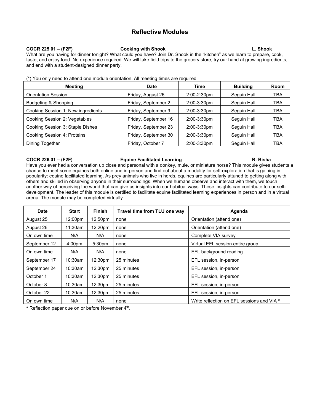### **COCR 225 01 – (F2F) Cooking with Shook L. Shook**

What are you having for dinner tonight? What could you have? Join Dr. Shook in the "kitchen" as we learn to prepare, cook, taste, and enjoy food. No experience required. We will take field trips to the grocery store, try our hand at growing ingredients, and end with a student-designed dinner party.

|  |  |  | (*) You only need to attend one module orientation. All meeting times are required. |  |  |  |
|--|--|--|-------------------------------------------------------------------------------------|--|--|--|
|  |  |  |                                                                                     |  |  |  |
|  |  |  |                                                                                     |  |  |  |

| <b>Meeting</b>                     | Date                 | <b>Time</b>      | <b>Building</b> | Room |
|------------------------------------|----------------------|------------------|-----------------|------|
| <b>Orientation Session</b>         | Friday, August 26    | $2:00 - 2:30$ pm | Sequin Hall     | TBA  |
| Budgeting & Shopping               | Friday, September 2  | $2:00-3:30$ pm   | Sequin Hall     | TBA  |
| Cooking Session 1: New ingredients | Friday, September 9  | $2:00-3:30$ pm   | Sequin Hall     | TBA  |
| Cooking Session 2: Vegetables      | Friday, September 16 | $2:00-3:30$ pm   | Sequin Hall     | TBA  |
| Cooking Session 3: Staple Dishes   | Friday, September 23 | $2:00-3:30$ pm   | Seguin Hall     | TBA  |
| Cooking Session 4: Proteins        | Friday, September 30 | $2:00-3:30$ pm   | Sequin Hall     | TBA  |
| Dining Together                    | Friday, October 7    | $2:00-3:30$ pm   | Sequin Hall     | TBA  |

### **COCR 226.01 – (F2F) Equine Facilitated Learning R. Bisha**

Have you ever had a conversation up close and personal with a donkey, mule, or miniature horse? This module gives students a chance to meet some equines both online and in-person and find out about a modality for self-exploration that is gaining in popularity: equine facilitated learning. As prey animals who live in herds, equines are particularly attuned to getting along with others and skilled in observing anyone in their surroundings. When we humans observe and interact with them, we touch another way of perceiving the world that can give us insights into our habitual ways. These insights can contribute to our selfdevelopment. The leader of this module is certified to facilitate equine facilitated learning experiences in person and in a virtual arena. The module may be completed virtually.

| <b>Date</b>  | <b>Start</b>        | <b>Finish</b>       | Travel time from TLU one way | Agenda                                     |
|--------------|---------------------|---------------------|------------------------------|--------------------------------------------|
| August 25    | 12:00 <sub>pm</sub> | 12:50pm             | none                         | Orientation (attend one)                   |
| August 26    | 11:30am             | 12:20pm             | none                         | Orientation (attend one)                   |
| On own time  | N/A                 | N/A                 | none                         | Complete VIA survey                        |
| September 12 | 4:00 <sub>pm</sub>  | 5:30pm              | none                         | Virtual EFL session entire group           |
| On own time  | N/A                 | N/A                 | none                         | EFL background reading                     |
| September 17 | 10:30am             | 12:30 <sub>pm</sub> | 25 minutes                   | EFL session, in-person                     |
| September 24 | $10:30$ am          | 12:30 <sub>pm</sub> | 25 minutes                   | EFL session, in-person                     |
| October 1    | $10:30$ am          | 12:30 <sub>pm</sub> | 25 minutes                   | EFL session, in-person                     |
| October 8    | 10:30am             | 12:30 <sub>pm</sub> | 25 minutes                   | EFL session, in-person                     |
| October 22   | 10:30am             | 12:30 <sub>pm</sub> | 25 minutes                   | EFL session, in-person                     |
| On own time  | N/A                 | N/A                 | none                         | Write reflection on EFL sessions and VIA * |

**\*** Reflection paper due on or before November 4th.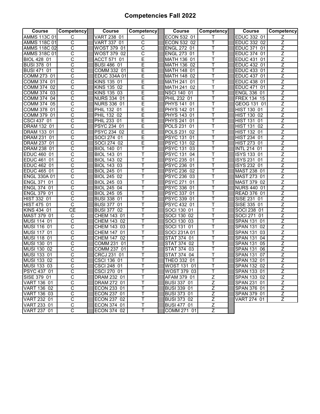## **Competencies Fall 2022**

| <b>Course</b>       | Competency            | Course                 | Competency            | Course                | Competency     | Course                 | Competency     |
|---------------------|-----------------------|------------------------|-----------------------|-----------------------|----------------|------------------------|----------------|
| <b>AMMS 113C 01</b> | C                     | VART 238 01            | C                     | ECON 532 01           |                | EDUC 332 01            | Z              |
| <b>AMMS 118C 01</b> | С                     | VART 337 01            | C                     | ECON 532 02           | Т              | EDUC 332 02            | Z              |
| <b>AMMS 118C 02</b> | $\overline{\text{c}}$ | WOST 379 01            | $\overline{\text{c}}$ | <b>ENGL 272 01</b>    | T              | EDUC 371 01            | Z              |
| <b>AMMS 318C 01</b> | $\overline{\text{c}}$ | WOST 379 02            | $\overline{\text{c}}$ | <b>ENGL 273 01</b>    | T              | EDUC 374 01            | $\overline{z}$ |
| BIOL 428 01         | C                     | ACCT 571 01            | E                     | MATH 136 01           | Τ              | EDUC 431 01            | $\overline{z}$ |
| <b>BUSI 378 01</b>  | C                     | <b>BUSI 486 01</b>     | E                     | MATH 136 02           | T              | EDUC 432 01            | $\overline{z}$ |
| <b>BUSI 471 01</b>  | C                     | COMM 332 01            | E                     | MATH 148 01           | Т              | EDUC 433 01            | Ζ              |
| COMM 273 01         | C                     | EDUC 334A 01           | E                     | MATH 148 02           | T              | EDUC 437 01            | Z              |
| COMM 374 01         | С                     | KINS 135 01            | E                     | MATH 241 01           | Т              | EDUC 438 01            | Z              |
| COMM 374 02         | $\overline{\text{c}}$ | KINS 135 02            | Ē                     | MATH 241 02           | Ŧ              | EDUC 471 01            | $\overline{z}$ |
| COMM 374 03         | С                     | KINS 135 03            | Е                     | <b>NSCI 140 01</b>    | т              | <b>ENGL 336 01</b>     | Z              |
| COMM 374 04         | $\overline{\text{c}}$ | <b>NURS 334 01</b>     | E                     | PHIL 232 01           | T              | FREX 134 15            | Ζ              |
| COMM 374 05         | $\overline{\text{c}}$ | <b>NURS 336 01</b>     | Ε                     | PHYS 141 01           | т              | GEOG 131 01            | $\overline{z}$ |
| COMM 378 01         | C                     | PHIL 132 01            | E                     | PHYS 142 01           | T              | HIST 130 01            | $\overline{z}$ |
| COMM 379 01         | C                     | PHIL 132 02            | E                     | <b>PHYS 143 01</b>    | Τ              | HIST 130 02            | $\overline{z}$ |
| CSCI 437 01         | С                     | PHIL 233 01            | E                     | PHYS 241 01           | Т              | <b>HIST 131</b><br>01  | Z              |
| <b>DRAM 132 01</b>  | С                     | PSYC 234 01            | Ε                     | POLS 231 01           | Т              | HIST 131 02            | Z              |
| DRAM 133 01         | C                     | PSYC 234 02            | E                     | POLS 231 02           | T              | HIST 132 01            | $\overline{z}$ |
| DRAM 231 01         | C                     | SOCI 274 01            | Ē                     | <b>PSYC 131 01</b>    | Ŧ              | HIST 234 01            | $\overline{z}$ |
| <b>DRAM 237 01</b>  | C                     | SOCI 274 02            | E                     | <b>PSYC 131 02</b>    | Т              | <b>HIST 273 01</b>     | $\overline{Z}$ |
| DRAM 238 01         | C                     | <b>BIOL 140 01</b>     | Т                     | PSYC 131 03           | Т              | INTL 214 01            | Ζ              |
| <b>EDUC 460 01</b>  | $\overline{\text{c}}$ | <b>BIOL 143 01</b>     | T                     | <b>PSYC 131 04</b>    | T              | ISYS 133 01            | $\overline{Z}$ |
| EDUC 461 01         | C                     | BIOL 143 02            | T                     | PSYC 235 01           | T              | ISYS 231 01            | $\overline{z}$ |
| <b>EDUC 462 01</b>  | C                     | BIOL 143 03            | Т                     | PSYC 236 01           | Т              | ISYS 232 01            | $\overline{z}$ |
| <b>EDUC 465 01</b>  | С                     | BIOL 245 01            | Т                     | PSYC 236 02           | Т              | MAST 238 01            | Z              |
| <b>ENGL 330A 01</b> | С                     | <b>BIOL 245 02</b>     | Т                     | PSYC 236 03           | Т              | MAST 273 01            | Ζ              |
| ENGL 371<br>01      | C                     | <b>BIOL 245 03</b>     | T                     | <b>PSYC 271 01</b>    | T              | MAST 379 02            | $\overline{z}$ |
| <b>ENGL 374 01</b>  | C                     | <b>BIOL 245 04</b>     | Ŧ                     | PSYC 336 01           | Ŧ              | <b>NURS 440 01</b>     | Z              |
| <b>ENGL 379 01</b>  | C                     | <b>BIOL 245 05</b>     | Τ                     | PSYC 337 01           | Т              | <b>READ 376 01</b>     | $\overline{Z}$ |
| HIST 332 01         | C                     | <b>BUSI 338 01</b>     | Т                     | PSYC 339 01           | Τ              | SISE 231 01            | Z              |
| HIST 475 01         | $\overline{\text{c}}$ | <b>BUSI 377 01</b>     | T                     | PSYC 432 01           | T              | SISE 335 01            | $\overline{Z}$ |
| KINS 434 01         | <b>CE</b>             | <b>BUSI 377 02</b>     | T                     | SOCI 130 01           | T              | SOCI 238 01            | $\overline{Z}$ |
| MAST 379 01         | C                     | CHEM 143 01            | T                     | SOCI 130 02           | T              | <b>SOCI 271</b><br>01  | $\overline{z}$ |
| MUSI 114 01         | С                     | CHEM 143 02            | Т                     | <b>SOCI 130</b><br>03 | Τ              | SPAN 131 01            | Ζ              |
| MUSI 116 01         | $\overline{\text{c}}$ | CHEM 143 03            | T                     | SOCI 131 01           | T              | SPAN 131 02            | $\overline{z}$ |
| MUSI 117 01         | C                     | CHEM 147 01            | T                     | SOCI 231A 01          | т              | SPAN 131 03            | Z              |
| MUSI 118 01         | C                     | CHEM 147 02            | Ŧ                     | <b>STAT 374 01</b>    | T              | <b>SPAN 131 04</b>     | $\overline{z}$ |
| MUSI 130 01         | $\overline{\text{c}}$ | <b>COMM 231</b><br>-01 | Т                     | STAT 374 02           | Τ              | SPAN 131 05            | Z              |
| MUSI 130 02         | C                     | COMM 237 01            | T                     | <b>STAT 374</b><br>03 | Τ              | SPAN 131 06            | Z              |
| MUSI 133 01         | C                     | <b>CRCJ 231</b><br>01  | Τ                     | STAT 374 04           | Τ              | <b>SPAN 131</b><br>-07 | Z              |
| MUSI 133 02         | $\overline{\text{c}}$ | CSCI 136 01            | T                     | THEO 332 01           |                | <b>SPAN 132 01</b>     | Z              |
| MUSI 133 03         | С                     | CSCI 248 01            | т                     | WOST 131 01           | Τ              | SPAN 132 02            | z              |
| PSYC 437 01         | С                     | CSCI 270 01            | Τ                     | WOST 379 03           | T              | SPAN 133 01            | Z              |
| SISE 379 01         | $\overline{C}$        | DRAM 232 01            | Τ                     | AFAM 379 01           | $\overline{Z}$ | SPAN 133 02            | Ζ              |
| <b>VART 136 01</b>  | $\overline{\text{c}}$ | DRAM 272 01            | T                     | <b>BUSI 337 01</b>    | $\overline{Z}$ | SPAN 231 01            | $\overline{z}$ |
| VART 136 02         | C                     | ECON 233 01            | Τ                     | BUSI 339 01           | $\overline{Z}$ | SPAN 376 01            | $\overline{Z}$ |
| VART 136 03         | C                     | ECON 237 01            | Τ                     | <b>BUSI 373 01</b>    | $\overline{Z}$ | SPAN 379 01            | $\overline{Z}$ |
| VART 232 01         | С                     | ECON 237 02            | Τ                     | <b>BUSI 373 02</b>    | Ζ              | VART 274 01            | Ζ              |
| VART 233 01         | $\overline{\text{c}}$ | ECON 374 01            | Т                     | <b>BUSI 477 01</b>    | $\overline{z}$ |                        |                |
| VART 237 01         | C                     | ECON 374 02            | T                     | COMM 271 01           | Z              |                        |                |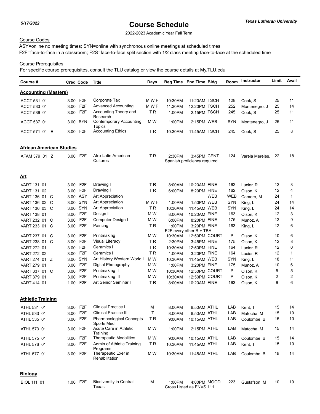2022-2023 Academic Year Fall Term

## Course Codes

ASY=online no meeting times; SYN=online with synchronous online meetings at scheduled times; F2F=face-to-face in a classroom; F2S=face-to-face split section with 1/2 class meeting face-to-face at the scheduled time

## Course Prerequisites

| Course #                        | <b>Cred Code</b> |                  | Title                                         | Days      |         | Beg Time End Time Bldg                      |            | Room       | <b>Instructor</b> | Limit | Avail        |
|---------------------------------|------------------|------------------|-----------------------------------------------|-----------|---------|---------------------------------------------|------------|------------|-------------------|-------|--------------|
| <b>Accounting (Masters)</b>     |                  |                  |                                               |           |         |                                             |            |            |                   |       |              |
| ACCT 531 01                     | 3.00 F2F         |                  | Corporate Tax                                 | M W F     | 10:30AM | 11:20AM TSCH                                |            | 128        | Cook, S           | 25    | 11           |
| ACCT 533 01                     | 3.00 F2F         |                  | Advanced Accounting                           | M W F     | 11:30AM | 12:20PM TSCH                                |            | 252        | Montenegro, J     | 25    | 14           |
| ACCT 536 01                     | 3.00 F2F         |                  | Accounting Theory and                         | <b>TR</b> | 1:00PM  | 2:15PM TSCH                                 |            | 245        | Cook, S           | 25    | 11           |
| ACCT 537 01                     | 3.00 SYN         |                  | Research<br><b>Contemporary Accounting</b>    | M W       | 1:00PM  | 2:15PM WEB                                  |            | SYN        | Montenegro, J     | 25    | 11           |
| ACCT 571 01 E                   | 3.00 F2F         |                  | Topics<br><b>Accounting Ethics</b>            | ΤR        | 10:30AM | 11:45AM TSCH                                |            | 245        | Cook, S           | 25    | 8            |
|                                 |                  |                  |                                               |           |         |                                             |            |            |                   |       |              |
| <b>African American Studies</b> |                  |                  |                                               |           |         |                                             |            |            |                   |       |              |
| AFAM 379 01 Z                   | 3.00 F2F         |                  | Afro-Latin American<br>Cultures               | <b>TR</b> | 2:30PM  | 3:45PM CENT<br>Spanish proficiency required |            | 124        | Varela Mereles,   | 22    | 18           |
| <u>Art</u>                      |                  |                  |                                               |           |         |                                             |            |            |                   |       |              |
| VART 131 01                     | 3.00 F2F         |                  | Drawing I                                     | ΤR        | 8:00AM  | 10:20AM FINE                                |            | 162        | Lucier, R         | 12    | 3            |
| VART 131 02                     | 3.00 F2F         |                  | Drawing I                                     | TR        | 6:00PM  | 8:20PM FINE                                 |            | 162        | Olson, K          | 12    | 4            |
| VART 136 01 C                   | 3.00 ASY         |                  | Art Appreciation                              |           |         |                                             | <b>WEB</b> | <b>WEB</b> | Camero, M         | 24    | $\mathbf{1}$ |
| VART 136 02 C                   | 3.00 SYN         |                  | Art Appreciation                              | M W F     | 1:00PM  | 1:50PM WEB                                  |            | <b>SYN</b> | King, L           | 24    | 14           |
| VART 136 03 C                   | 3.00 SYN         |                  | Art Appreciation                              | ΤR        | 10:30AM | 11:45AM WEB                                 |            | SYN        | King, L           | 24    | 14           |
| <b>VART 138 01</b>              | 3.00             | F <sub>2</sub> F | Design I                                      | M W       | 8:00AM  | 10:20AM FINE                                |            | 163        | Olson, K          | 12    | 3            |
| VART 232 01<br>- C              | 3.00             | F <sub>2</sub> F | Computer Design I                             | M W       | 6:00PM  | 8:20PM FINE                                 |            | 175        | Munoz, A          | 12    | 9            |
| VART 233 01 C                   | 3.00 F2F         |                  | Painting I                                    | ΤR        | 1:00PM  | 3:20PM FINE<br>F2F every other $R$ + TBA    |            | 163        | King, L           | 12    | 6            |
| VART 237 01<br>C                | 3.00             | F <sub>2</sub> F | Printmaking I                                 | M W       | 10:30AM | 12:50PM COURT                               |            | Ρ          | Olson, K          | 10    | 6            |
| VART 238 01 C                   | 3.00             | F <sub>2</sub> F | Visual Literacy                               | ΤR        | 2:30PM  | 3:45PM FINE                                 |            | 175        | Olson, K          | 12    | 8            |
| VART 272 01                     | 3.00             | F2F              | Ceramics I                                    | ΤR        | 10:30AM | 12:50PM FINE                                |            | 164        | Lucier, R         | 12    | 0            |
| VART 272 02                     | 3.00             | F <sub>2</sub> F | Ceramics I                                    | <b>TR</b> | 1:00PM  | 3:20PM FINE                                 |            | 164        | Lucier, R         | 12    | 1            |
| VART 274 01 Z                   | 3.00 SYN         |                  | Art History Western World I                   | M W       | 10:30AM | 11:45AM WEB                                 |            | SYN        | King, L           | 18    | 11           |
| VART 279 01                     | 3.00             | F <sub>2</sub> F | Digital Photography                           | M W       | 1:00PM  | 3:20PM FINE                                 |            | 175        | Munoz, A          | 10    | 6            |
| VART 337 01 C                   | 3.00             | F <sub>2</sub> F | Printmaking II                                | M W       | 10:30AM | 12:50PM COURT                               |            | P          | Olson, K          | 5     | 5            |
| VART 379 01                     | 3.00             | F <sub>2</sub> F | Printmaking III                               | M W       | 10:30AM | 12:50PM COURT                               |            | Ρ          | Olson, K          | 2     | 2            |
| VART 414 01                     | 1.00             | F <sub>2</sub> F | Art Senior Seminar I                          | ΤR        | 8:00AM  | 10:20AM FINE                                |            | 163        | Olson, K          | 6     | 6            |
| <b>Athletic Training</b>        |                  |                  |                                               |           |         |                                             |            |            |                   |       |              |
| ATHL 531 01                     | 3.00 F2F         |                  | <b>Clinical Practice I</b>                    | M         | 8:00AM  | 8:50AM ATHL                                 |            | LAB        | Kent, T           | 15    | 14           |
| ATHL 533 01                     | 3.00 F2F         |                  | Clinical Practice III                         | Τ         | 8:00AM  | 8:50AM ATHL                                 |            | LAB        | Matocha, M        | 15    | 10           |
| ATHL 535 01                     | 3.00 F2F         |                  | <b>Pharmacological Concepts</b><br>Sports Med | TR        | 9:00AM  | 10:15AM ATHL                                |            | LAB        | Coulombe, B       | 15    | 10           |
| ATHL 573 01                     | 3.00 F2F         |                  | Acute Care in Athletic<br>Training            | M W       | 1:00PM  | 2:15PM ATHL                                 |            | LAB        | Matocha, M        | 15    | 14           |
| ATHL 575 01                     | 3.00 F2F         |                  | <b>Therapeutic Modalities</b>                 | M W       | 9:00AM  | 10:15AM ATHL                                |            | LAB        | Coulombe, B       | 15    | 14           |
| ATHL 576 01                     | 3.00 F2F         |                  | Admin of Athletic Training<br>Programs        | TR.       | 10:30AM | 11:45AM ATHL                                |            | LAB        | Kent, T           | 15    | 10           |
| ATHL 577 01                     | 3.00 F2F         |                  | Therapeutic Exer in<br>Rehabilitation         | M W       | 10:30AM | 11:45AM ATHL                                |            | LAB        | Coulombe, B       | 15    | 14           |
| <b>Biology</b>                  |                  |                  |                                               |           |         |                                             |            |            |                   |       |              |
| BIOL 111 01                     | 1.00 F2F         |                  | <b>Biodiversity in Central</b><br>Texas       | м         | 1:00PM  | 4:00PM MOOD<br>Cross Listed as ENVS 111     |            | 223        | Gustafson, M      | 10    | 10           |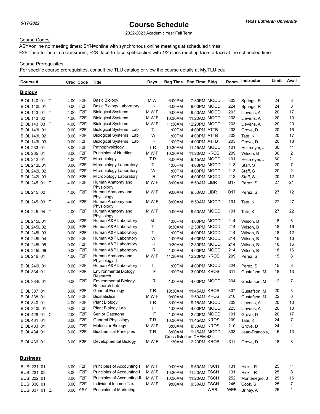2022-2023 Academic Year Fall Term

## Course Codes

ASY=online no meeting times; SYN=online with synchronous online meetings at scheduled times; F2F=face-to-face in a classroom; F2S=face-to-face split section with 1/2 class meeting face-to-face at the scheduled time

## Course Prerequisites

| Course #            | <b>Cred Code</b> |                                     | Title                                    | Days  |         | Beg Time End Time Bldg                  |            | Room       | <b>Instructor</b> | Limit | Avail          |
|---------------------|------------------|-------------------------------------|------------------------------------------|-------|---------|-----------------------------------------|------------|------------|-------------------|-------|----------------|
| <u>Biology</u>      |                  |                                     |                                          |       |         |                                         |            |            |                   |       |                |
| BIOL 140 01 T       | 4.00             | F <sub>2</sub> F                    | <b>Basic Biology</b>                     | M W   | 6:00PM  | 7:30PM MOOD                             |            | 303        | Springs, R        | 24    | 8              |
| <b>BIOL 140L 01</b> | 0.00             | F <sub>2</sub> F                    | <b>Basic Biology Laboratory</b>          | R     | 6:00PM  | 9:00PM MOOD                             |            | 224        | Springs, R        | 24    | 8              |
| BIOL 143 01 T       | 4.00             | F <sub>2</sub> F                    | <b>Biological Systems I</b>              | M W F | 9:00AM  | 9:50AM MOOD                             |            | 203        | Lievens, A        | 20    | 17             |
| BIOL 143 02 T       | 4.00             | F <sub>2F</sub>                     | <b>Biological Systems I</b>              | M W F | 10:30AM | 11:20AM MOOD                            |            | 203        | Lievens, A        | 20    | 13             |
| BIOL 143 03 T       | 4.00             | F <sub>2</sub> F                    | <b>Biological Systems I</b>              | M W F | 11:30AM | 12:20PM MOOD                            |            | 203        | Lievens, A        | 20    | 20             |
| <b>BIOL 143L 01</b> | 0.00             | F <sub>2</sub> F                    | <b>Biological Systems I Lab</b>          | т     | 1:00PM  | 4:00PM ATTB                             |            | 203        | Grove, D          | 20    | 15             |
| <b>BIOL 143L 02</b> | 0.00             | F <sub>2</sub> F                    | <b>Biological Systems I Lab</b>          | W     | 1:00PM  | 4:00PM ATTB                             |            | 203        | Tate, K           | 20    | 17             |
| <b>BIOL 143L 03</b> | 0.00             | F <sub>2</sub> F                    | <b>Biological Systems I Lab</b>          | R     | 1:00PM  | 4:00PM ATTB                             |            | 203        | Grove, D          | 20    | 18             |
| BIOL 233 01         | 3.00             | F <sub>2</sub> F                    | Pathophysiology                          | TR    | 10:30AM | 11:45AM MOOD                            |            | 101        | Heitmeyer, J      | 30    | 11             |
| BIOL 235 01         | 3.00             | F <sub>2</sub> F                    | Principles of Nutrition                  | M W F | 10:30AM | 11:20AM KROS                            |            | 209        | Wilson, B         | 30    | 2              |
| BIOL 242 01         | 4.00             | F <sub>2</sub> F                    | Microbiology                             | ΤR    | 8:00AM  | 9:15AM MOOD                             |            | 101        | Heitmeyer, J      | 60    | 21             |
| <b>BIOL 242L 01</b> | 0.00             | F <sub>2</sub> F                    | Microbiology Laboratory                  | Τ     | 1:00PM  | 4:00PM MOOD                             |            | 213        | Staff, S          | 20    | $\overline{7}$ |
| <b>BIOL 242L 02</b> | 0.00             | F <sub>2</sub> F                    | Microbiology Laboratory                  | W     | 1:00PM  | 4:00PM MOOD                             |            | 213        | Staff, S          | 20    | $\overline{2}$ |
| BIOL 242L 03        | 0.00             | F <sub>2</sub> F                    | Microbiology Laboratory                  | R     | 1:00PM  | 4:00PM MOOD                             |            | 213        | Staff, S          | 20    | 12             |
| BIOL 245 01 T       | 4.00             | F <sub>2</sub> F                    | Human Anatomy and                        | M W F | 8:00AM  | 8:50AM LIBR                             |            | B17        | Perez, S          | 27    | 21             |
| BIOL 245 02 T       | 4.00             | F <sub>2</sub> F                    | Physiology I<br>Human Anatomy and        | M W F | 9:00AM  | 9:50AM LIBR                             |            | B17        | Perez, S          | 27    | 12             |
| BIOL 245 03 T       | 4.00 F2F         |                                     | Physiology I<br>Human Anatomy and        | M W F | 8:00AM  | 8:50AM MOOD                             |            | 101        | Tate, K           | 27    | 27             |
| BIOL 245 04 T       | 4.00             | F <sub>2</sub> F                    | Physiology I<br>Human Anatomy and        | M W F | 9:00AM  | 9:50AM MOOD                             |            | 101        | Tate, K           | 27    | 22             |
| <b>BIOL 245L 01</b> | 0.00 F2F         |                                     | Physiology I<br>Human A&P Laboratory I   | М     | 1:00PM  | 4:00PM MOOD                             |            | 214        |                   | 18    | 6              |
|                     |                  | F <sub>2F</sub>                     | Human A&P Laboratory I                   | Τ     |         | 12:30PM MOOD                            |            | 214        | Wilson, B         | 18    | 16             |
| <b>BIOL 245L 02</b> | 0.00             | F <sub>2F</sub>                     | Human A&P Laboratory I                   | т     | 9:30AM  |                                         |            |            | Wilson, B         | 18    | 12             |
| BIOL 245L 03        | 0.00             |                                     | Human A&P Laboratory I                   |       | 1:00PM  | 4:00PM MOOD                             |            | 214        | Wilson, B         |       |                |
| <b>BIOL 245L 04</b> | 0.00             | F <sub>2</sub> F<br>F <sub>2F</sub> |                                          | W     | 1:00PM  | 4:00PM MOOD                             |            | 214        | Wilson, B         | 18    | 16<br>16       |
| <b>BIOL 245L 05</b> | 0.00             |                                     | Human A&P Laboratory I                   | R     | 9:30AM  | 12:30PM MOOD                            |            | 214        | Wilson, B         | 18    |                |
| <b>BIOL 245L 06</b> | 0.00             | F <sub>2F</sub>                     | Human A&P Laboratory I                   | R     | 1:00PM  | 4:00PM MOOD                             |            | 214        | Wilson, B         | 18    | 16             |
| BIOL 246 01         | 4.00             | F <sub>2F</sub>                     | Human Anatomy and<br>Physiology II       | M W F | 11:30AM | 12:20PM KROS                            |            | 209        | Perez, S          | 15    | 8              |
| <b>BIOL 246L 01</b> | 0.00             | F <sub>2</sub> F                    | Human A&P Laboratory II                  | т     | 1:00PM  | 4:00PM MOOD                             |            | 224        | Perez, S          | 15    | 8              |
| BIOL 334 01         | 3.00             | F <sub>2F</sub>                     | <b>Environmental Biology</b><br>Research | F     | 1:00PM  | 3:00PM KROS                             |            | 311        | Gustafson, M      | 18    | 13             |
| <b>BIOL 334L 01</b> | 0.00             | F <sub>2</sub> F                    | Environmental Biology<br>Research Lab    | R     | 1:00PM  | 4:00PM MOOD                             |            | 204        | Gustafson, M      | 12    | 7              |
| BIOL 337 01         | 3.00             | F <sub>2</sub> F                    | General Ecology                          | ΤR    | 10:30AM | 11:45AM KROS                            |            | 307        | Gustafson, M      | 20    | 3              |
| BIOL 338 01         | 3.00             | F <sub>2F</sub>                     | <b>Biostatistics</b>                     | M W F | 9:00AM  | 9:50AM KROS                             |            | 210        | Gustafson, M      | 22    | 0              |
| BIOL 340 01         | 4.00             | F <sub>2</sub> F                    | <b>Plant Biology</b>                     | T R   | 8:00AM  | 9:15AM MOOD                             |            | 203        | Lievens, A        | 20    | 10             |
| BIOL 340L 01        | 0.00             | F2F                                 | Plant Biology Lab                        | T.    | 1:00PM  | 4:00PM MOOD                             |            | 223        | Lievens, A        | 20    | 10             |
| BIOL 428 01 C       | 2.00 F2F         |                                     | Senior Capstone                          | F     | 1:00PM  | 2:50PM MOOD                             |            | 101        | Grove, D          | 20    | 17             |
| BIOL 431 01         | 3.00 F2F         |                                     | <b>General Physiology</b>                | TR.   | 10:30AM | 11:45AM KROS                            |            | 209        | Tate, K           | 24    | 7              |
| BIOL 433 01         | 3.00 F2F         |                                     | Molecular Biology                        | M W F | 8:00AM  | 8:50AM KROS                             |            | 210        | Grove, D          | 24    | $\mathbf{1}$   |
| BIOL 434 01         | 3.00             | F <sub>2</sub> F                    | <b>Biochemical Principles</b>            | TR.   | 8:00AM  | 9:15AM MOOD<br>Cross listed as CHEM 434 |            | 303        | Jean-Francois,    | 15    | 13             |
| BIOL 436 01         | 3.00 F2F         |                                     | Developmental Biology                    | M W F | 11:30AM | 12:20PM KROS                            |            | 311        | Grove, D          | 18    | 8              |
| <b>Business</b>     |                  |                                     |                                          |       |         |                                         |            |            |                   |       |                |
| BUSI 231 01         | 3.00 F2F         |                                     | Principles of Accounting I               | M W F | 9:00AM  | 9:50AM TSCH                             |            | 131        | Hicks, R          | 25    | 11             |
| BUSI 231 02         | 3.00 F2F         |                                     | Principles of Accounting I               | M W F | 10:30AM | 11:20AM TSCH                            |            | 131        | Hicks, R          | 25    | 8              |
| BUSI 232 01         | 3.00             | F <sub>2</sub> F                    | Principles of Accounting II              | M W F | 10:30AM | 11:20AM TSCH                            |            | 252        | Montenegro, J     | 25    | 16             |
| BUSI 336 01         | 3.00 F2F         |                                     | Individual Income Tax                    | M W F | 9:00AM  | 9:50AM TSCH                             |            | 245        | Cook, S           | 25    | 7              |
| BUSI 337 01 Z       | 3.00 ASY         |                                     | <b>Principles of Marketing</b>           |       |         |                                         | <b>WEB</b> | <b>WEB</b> | Briney, A         | 25    | 1              |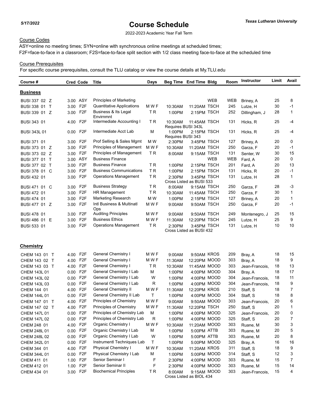2022-2023 Academic Year Fall Term

## Course Codes

ASY=online no meeting times; SYN=online with synchronous online meetings at scheduled times; F2F=face-to-face in a classroom; F2S=face-to-face split section with 1/2 class meeting face-to-face at the scheduled time

## Course Prerequisites

| Course #            | <b>Cred Code</b> |                  | <b>Title</b>                           | Days  |                               | Beg Time End Time Bldg   |     | Room | Instructor     | Limit | Avail        |
|---------------------|------------------|------------------|----------------------------------------|-------|-------------------------------|--------------------------|-----|------|----------------|-------|--------------|
| <b>Business</b>     |                  |                  |                                        |       |                               |                          |     |      |                |       |              |
| BUSI 337 02 Z       | 3.00 ASY         |                  | Principles of Marketing                |       |                               |                          | WEB | WEB  | Briney, A      | 25    | 8            |
| BUSI 338 01 T       | 3.00             | F <sub>2</sub> F | Quantitative Applications              | M W F | 10:30AM                       | 11:20AM TSCH             |     | 245  | Lutze, H       | 30    | -1           |
| BUSI 339 01 Z       | 3.00             | F <sub>2</sub> F | Business & Its Legal                   | ΤR    | 1:00PM                        | 2:15PM TSCH              |     | 252  | Dillingham, J  | 28    | $\mathbf{1}$ |
| BUSI 343 01         | 4.00             | F <sub>2</sub> F | Envirnmnt<br>Intermediate Accounting I | ΤR    | 10:30AM<br>Requires BUSI 343L | 11:45AM TSCH             |     | 131  | Hicks, R       | 25    | -4           |
| <b>BUSI 343L 01</b> | $0.00\,$         | F <sub>2</sub> F | Intermediate Acct Lab                  | M     | 1:00PM<br>Requires BUSI 343   | 2:15PM TSCH              |     | 131  | Hicks, R       | 25    | -4           |
| BUSI 371 01         | 3.00             | F <sub>2</sub> F | Prof Selling & Sales Mgmt              | M W   | 2:30PM                        | 3:45PM TSCH              |     | 127  | Briney, A      | 20    | 0            |
| BUSI 373 01 Z       | 3.00             | F <sub>2</sub> F | Principles of Management               | M W F | 10:30AM                       | 11:20AM TSCH             |     | 250  | Garza, F       | 20    | -1           |
| BUSI 373 02 Z       | 3.00             | F <sub>2</sub> F | Principles of Management               | ΤR    | 8:00AM                        | 9:15AM TSCH              |     | 131  | Senter, W      | 30    | 15           |
| BUSI 377 01 T       | 3.00 ASY         |                  | <b>Business Finance</b>                |       |                               |                          | WEB | WEB  | Fard, A        | 20    | 0            |
| BUSI 377 02 T       | 3.00             | F <sub>2</sub> F | <b>Business Finance</b>                | ΤR    | 1:00PM                        | 2:15PM TSCH              |     | 201  | Fard, A        | 20    | 13           |
| BUSI 378 01 C       | 3.00             | F2F              | <b>Business Communications</b>         | ΤR    | 1:00PM                        | 2:15PM TSCH              |     | 131  | Hicks, R       | 20    | -1           |
| <b>BUSI 432 01</b>  | 3.00 F2F         |                  | <b>Operations Management</b>           | ΤR    | 2:30PM                        | 3:45PM TSCH              |     | 131  | Lutze, H       | 28    | $\mathbf{1}$ |
|                     |                  |                  |                                        |       |                               | Cross Listed as BUSI 533 |     |      |                |       |              |
| BUSI 471 01 C       | 3.00             | F <sub>2</sub> F | <b>Business Strategy</b>               | TR.   | 8:00AM                        | 9:15AM TSCH              |     | 250  | Garza, F       | 28    | $-3$         |
| <b>BUSI 472 01</b>  | 3.00             | F <sub>2</sub> F | <b>HR Management</b>                   | ΤR    | 10:30AM                       | 11:45AM TSCH             |     | 250  | Garza, F       | 30    | $\mathbf{1}$ |
| <b>BUSI 474 01</b>  | 3.00             | F <sub>2</sub> F | Marketing Research                     | M W   | 1:00PM                        | 2:15PM TSCH              |     | 127  | Briney, A      | 20    | $\mathbf{1}$ |
| BUSI 477 01 Z       | 3.00             | F <sub>2</sub> F | Intl Business & Multinatl<br>Ops       | M W F | 9:00AM                        | 9:50AM TSCH              |     | 250  | Garza, F       | 20    | -1           |
| <b>BUSI 478 01</b>  | 3.00             | F2F              | <b>Auditing Principles</b>             | M W F | 9:00AM                        | 9:50AM TSCH              |     | 249  | Montenegro, J  | 25    | 15           |
| BUSI 486 01 E       | 3.00             | F <sub>2</sub> F | <b>Business Ethics</b>                 | M W F | 11:30AM                       | 12:20PM TSCH             |     | 245  | Lutze, H       | 25    | 9            |
| <b>BUSI 533 01</b>  | 3.00 F2F         |                  | <b>Operations Management</b>           | ΤR    | 2:30PM                        | 3:45PM TSCH              |     | 131  | Lutze, H       | 10    | 10           |
|                     |                  |                  |                                        |       |                               | Cross Listed as BUSI 432 |     |      |                |       |              |
| <b>Chemistry</b>    |                  |                  |                                        |       |                               |                          |     |      |                |       |              |
| CHEM 143 01 T       | 4.00 F2F         |                  | General Chemistry I                    | M W F | 9:00AM                        | 9:50AM KROS              |     | 209  | Bray, A        | 18    | 15           |
| CHEM 143 02 T       | 4.00 F2F         |                  | General Chemistry I                    | M W F | 11:30AM                       | 12:20PM MOOD             |     | 303  | Bray, A        | 18    | 9            |
| CHEM 143 03 T       | 4.00             | F <sub>2</sub> F | General Chemistry I                    | ΤR    | 10:30AM                       | 11:45AM MOOD             |     | 303  | Jean-Francois, | 18    | 13           |
| CHEM 143L 01        | 0.00             | F <sub>2</sub> F | General Chemistry I Lab                | м     | 1:00PM                        | 4:00PM MOOD              |     | 304  | Bray, A        | 18    | 17           |
| CHEM 143L 02        | $0.00\,$         | F <sub>2</sub> F | General Chemistry I Lab                | W     | 1:00PM                        | 4:00PM MOOD              |     | 304  | Jean-Francois, | 18    | 11           |
| CHEM 143L 03        | $0.00\,$         | F <sub>2</sub> F | General Chemistry I Lab                | R     | 1:00PM                        | 4:00PM MOOD              |     | 304  | Jean-Francois, | 18    | 9            |
| CHEM 144 01         | 4.00             | F <sub>2</sub> F | General Chemistry II                   | M W F | 11:30AM                       | 12:20PM KROS             |     | 210  | Staff, S       | 18    | 7            |
| CHEM 144L 01        | 0.00             | F <sub>2</sub> F | General Chemistry II Lab               | Τ     | 1:00PM                        | 4:00PM MOOD              |     | 304  | Staff. S       | 18    | 8            |
| CHEM 147 01 T       | 4.00             | F <sub>2F</sub>  | Principles of Chemistry                | M W F | 9:00AM                        | 9:50AM MOOD              |     | 303  | Jean-Francois, | 20    | 6            |
| CHEM 147 02 T       | 4.00             | F <sub>2F</sub>  | Principles of Chemistry                | M W F | 11:30AM                       | 12:20PM TSCH             |     | 250  | Staff, S       | 20    | $\mathbf{1}$ |
| CHEM 147L 01        | 0.00 F2F         |                  | Principles of Chemistry Lab            | М     | 1:00PM                        | 4:00PM MOOD              |     | 325  | Jean-Francois, | 20    | 0            |
| CHEM 147L 02        | 0.00 F2F         |                  | Principles of Chemistry Lab            | R     | 1:00PM                        | 4:00PM MOOD              |     | 325  | Staff, S       | 20    | 7            |
| CHEM 248 01         | 4.00 F2F         |                  | Organic Chemistry I                    | M W F | 10:30AM                       | 11:20AM MOOD             |     | 303  | Ruane, M       | 30    | 3            |
| CHEM 248L 01        | 0.00 F2F         |                  | Organic Chemistry I Lab                | М     | 1:00PM                        | 5:00PM ATTB              |     | 303  | Ruane, M       | 20    | 5            |
| CHEM 248L 02        | 0.00 F2F         |                  | Organic Chemistry I Lab                | W     | 1:00PM                        | 5:00PM ATTB              |     | 303  | Ruane, M       | 20    | 8            |
| CHEM 342L 01        | 0.00             | F2F              | Instrumentl Techniques Lab             | Т     | 1:00PM                        | 5:00PM MOOD              |     | 325  | Bray, A        | 16    | 16           |
| CHEM 344 01         | 4.00             | F2F              | <b>Physical Chemistry I</b>            | M W F | 10:30AM                       | 11:20AM KROS             |     | 311  | Staff, S       | 18    | 9            |
| CHEM 344L 01        | 0.00             | F2F              | Physical Chemistry I Lab               | М     | 1:00PM                        | 5:00PM MOOD              |     | 314  | Staff, S       | 12    | 3            |
| CHEM 411 01         | 1.00             | F <sub>2</sub> F | Senior Seminar I                       | F     | 2:30PM                        | 4:00PM MOOD              |     | 303  | Ruane, M       | 15    | 7            |
| CHEM 412 01         | 1.00 F2F         |                  | Senior Seminar II                      | F     | 2:30PM                        | 4:00PM MOOD              |     | 303  | Ruane, M       | 15    | 14           |
| CHEM 434 01         | 3.00 F2F         |                  | <b>Biochemical Principles</b>          | TR.   | 8:00AM                        | 9:15AM MOOD              |     | 303  | Jean-Francois, | 15    | 4            |
|                     |                  |                  |                                        |       |                               | Cross Listed as BIOL 434 |     |      |                |       |              |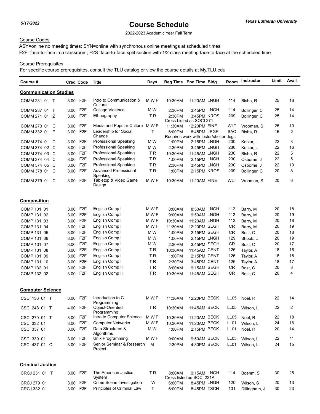2022-2023 Academic Year Fall Term

## Course Codes

ASY=online no meeting times; SYN=online with synchronous online meetings at scheduled times; F2F=face-to-face in a classroom; F2S=face-to-face split section with 1/2 class meeting face-to-face at the scheduled time

## Course Prerequisites

| Course #                     | <b>Cred Code</b> |                  | Title                                    | Days      | Beg Time End Time Bldg                 |                          | Room             | <b>Instructor</b> | Limit | Avail |
|------------------------------|------------------|------------------|------------------------------------------|-----------|----------------------------------------|--------------------------|------------------|-------------------|-------|-------|
| <b>Communication Studies</b> |                  |                  |                                          |           |                                        |                          |                  |                   |       |       |
| COMM 231 01 T                | 3.00 F2F         |                  | Intro to Communication &<br>Culture      | M W F     | 10:30AM                                | 11:20AM LNGH             | 114              | Bisha, R          | 25    | 16    |
| COMM 237 01 T                | 3.00 F2F         |                  | College Violence                         | M W       | 2:30PM                                 | 3:45PM LNGH              | 114              | Bollinger, C      | 25    | 14    |
| COMM 271 01 Z                | 3.00             | F2F              | Ethnography                              | ΤR        | 2:30PM                                 | 3:45PM KROS              | 209              | Bollinger, C      | 25    | 14    |
|                              |                  |                  |                                          |           |                                        | Cross Listed as SOCI 271 |                  |                   |       |       |
| COMM 273 01 C                | 3.00 F2F         |                  | Media and Popular Culture MW F           |           | 11:30AM                                | 12:20PM FINE             | WLT              | Vrooman, S        | 25    | 10    |
| COMM 332 01<br>Е             | 3.00             | F <sub>2</sub> F | Leadership for Social                    | т         | 6:00PM                                 | 8:45PM JPGP              | <b>SAC</b>       | Bisha, R          | 16    | $-2$  |
|                              |                  |                  | Change                                   |           | Requires work with foster/shelter dogs |                          |                  |                   |       |       |
| COMM 374 01<br>C             | 3.00             | F <sub>2</sub> F | Professional Speaking                    | M W       | 1:00PM                                 | 2:15PM LNGH              | 230              | Kotzur, L         | 22    | 3     |
| COMM 374 02<br>- C           | 3.00             | F <sub>2</sub> F | Professional Speaking                    | M W       | 2:30PM                                 | 3:45PM LNGH              | 230              | Kotzur, L         | 22    | 16    |
| COMM 374 03 C                | 3.00             | F2F              | <b>Professional Speaking</b>             | ΤR        | 10:30AM                                | 11:45AM LNGH             | 230              | Bisha, R          | 22    | 5     |
| COMM 374 04<br>C             | 3.00             | F <sub>2</sub> F | <b>Professional Speaking</b>             | <b>TR</b> | 1:00PM                                 | 2:15PM LNGH              | 230              | Osborne, J        | 22    | 5     |
| COMM 374 05<br>C             | 3.00             | F <sub>2</sub> F | Professional Speaking                    | <b>TR</b> | 2:30PM                                 | 3:45PM LNGH              | 230              | Osborne, J        | 22    | 10    |
| COMM 378 01 C                | 3.00             | F <sub>2</sub> F | <b>Advanced Professional</b><br>Speaking | TR.       | 1:00PM                                 | 2:15PM KROS              | 209              | Bollinger, C      | 20    | 8     |
| COMM 379 01 C                | 3.00             | F2F              | Tabletop & Video Game<br>Design          | M W F     | 10:30AM                                | 11:20AM FINE             | WLT              | Vrooman, S        | 20    | 6     |
| <b>Composition</b>           |                  |                  |                                          |           |                                        |                          |                  |                   |       |       |
| COMP 131 01                  | 3.00             | F2F              | English Comp I                           | M W F     | 8:00AM                                 | 8:50AM LNGH              | 112              | Barry, M          | 20    | 18    |
| COMP 131 02                  | 3.00             | F <sub>2</sub> F | English Comp I                           | M W F     | 9:00AM                                 | 9:50AM LNGH              | 112              | Barry, M          | 20    | 19    |
| COMP 131 03                  | 3.00             | F <sub>2</sub> F | English Comp I                           | M W F     | 10:30AM                                | 11:20AM LNGH             | 112              | Barry, M          | 20    | 18    |
| COMP 131 04                  | 3.00             | F <sub>2</sub> F | English Comp I                           | M W F     | 11:30AM                                | 12:20PM SEGH             | <b>CR</b>        | Barry, M          | 20    | 19    |
| COMP 131 05                  | 3.00             | F <sub>2</sub> F | English Comp I                           | M W       | 1:00PM                                 | 2:15PM SEGH              | CR               | Bost, C           | 20    | 18    |
| COMP 131 06                  | 3.00 F2F         |                  | English Comp I                           | M W       | 1:00PM                                 | 2:15PM LNGH              | 129              | Shook, L          | 20    | 19    |
| COMP 131 07                  | 3.00             | F <sub>2</sub> F | English Comp I                           | M W       | 2:30PM                                 | 3:45PM SEGH              | <b>CR</b>        | Bost, C           | 20    | 17    |
| COMP 131 08                  | 3.00             | F <sub>2</sub> F | English Comp I                           | ΤR        | 10:30AM                                | 11:45AM CENT             | 126              | Taylor, A         | 18    | 16    |
| COMP 131 09                  | 3.00             | F <sub>2</sub> F | English Comp I                           | TR        | 1:00PM                                 | 2:15PM CENT              | 126              | Taylor, A         | 18    | 18    |
| COMP 131 10                  | 3.00             | F <sub>2</sub> F | English Comp I                           | ΤR        | 2:30PM                                 | 3:45PM CENT              | 126              | Taylor, A         | 18    | 17    |
| COMP 132 01                  | 3.00             | F <sub>2</sub> F | English Comp II                          | TR        | 8:00AM                                 | 9:15AM SEGH              | <b>CR</b>        | Bost, C           | 20    | 8     |
| COMP 132 02                  | 3.00             | F2F              | English Comp II                          | ΤR        | 10:30AM                                | 11:45AM SEGH             | <b>CR</b>        | Bost, C           | 20    | 4     |
|                              |                  |                  |                                          |           |                                        |                          |                  |                   |       |       |
| <b>Computer Science</b>      |                  |                  |                                          |           |                                        |                          |                  |                   |       |       |
| CSCI 136 01 T                | 3.00 F2F         |                  | Introduction to C<br>Programming         | M W F     | 11:30AM                                | 12:20PM BECK             | LL <sub>05</sub> | Noel, R           | 22    | 14    |
| CSCI 248 01 T                | 4.00 F2F         |                  | Object-Oriented<br>Programming           | ΤR        | 10:30AM                                | 11:45AM BECK             | LL05             | Wilson, L         | 22    | 2     |
| CSCI 270 01 T                | 3.00 F2F         |                  | Intro to Computer Science                | M W F     | 10:30AM                                | 11:20AM BECK             | LL05             | Noel, R           | 22    | 18    |
| CSCI 332 01                  | 3.00 F2F         |                  | <b>Computer Networks</b>                 | M W F     | 10:30AM                                | 11:20AM BECK             | LL <sub>01</sub> | Wilson, L         | 24    | 16    |
| CSCI 337 01                  | 3.00 F2F         |                  | Data Structures &<br>Algorithms          | M W       | 1:00PM                                 | 2:15PM BECK              | LL <sub>01</sub> | Noel, R           | 20    | 14    |
| CSCI 339 01                  | 3.00 F2F         |                  | Unix Programming                         | M W F     | 9:00AM                                 | 9:50AM BECK              | <b>LL05</b>      | Wilson, L         | 22    | 11    |
| CSCI 437 01 C                | 3.00 F2F         |                  | Senior Seminar & Research<br>Project     | М         | 2:30PM                                 | 4:30PM BECK              | LL01             | Wilson, L         | 24    | 15    |
| <b>Criminal Justice</b>      |                  |                  |                                          |           |                                        |                          |                  |                   |       |       |
| CRCJ 231 01 T                | 3.00 F2F         |                  | The American Justice<br>System           | ΤR        | 8:00AM<br>Cross listed as SOCI 231A    | 9:15AM LNGH              | 114              | Boehm, S          | 30    | 25    |
| CRCJ 279 01                  | 3.00 F2F         |                  | Crime Scene Investigation                | W         | 6:00PM                                 | 8:45PM LNGH              | 120              | Wilson, S         | 20    | 13    |
| CRCJ 332 01                  | 3.00 F2F         |                  | Principles of Criminal Law               | T.        | 6:00PM                                 | 8:45PM TSCH              | 131              | Dillingham, J     | 30    | 23    |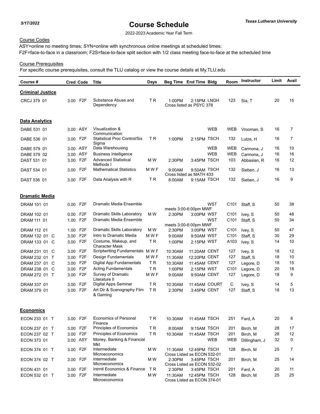2022-2023 Academic Year Fall Term

## Course Codes

ASY=online no meeting times; SYN=online with synchronous online meetings at scheduled times; F2F=face-to-face in a classroom; F2S=face-to-face split section with 1/2 class meeting face-to-face at the scheduled time

## Course Prerequisites

| Course #                |          | <b>Cred Code</b> | <b>Title</b>                                  | <b>Days</b>    |         | Beg Time End Time Bldg                      |            | Room             | <b>Instructor</b> | Limit | Avail          |
|-------------------------|----------|------------------|-----------------------------------------------|----------------|---------|---------------------------------------------|------------|------------------|-------------------|-------|----------------|
| <b>Criminal Justice</b> |          |                  |                                               |                |         |                                             |            |                  |                   |       |                |
| CRCJ 379 01             | 3.00 F2F |                  | Substance Abuse and<br>Dependency             | TR             | 1:00PM  | 2:15PM LNGH<br>Cross listed as PSYC 378     |            | 123              | Sia, T            | 20    | 15             |
| <b>Data Analytics</b>   |          |                  |                                               |                |         |                                             |            |                  |                   |       |                |
| DABE 531 01             |          | 3.00 ASY         | Visualization &<br>Communication              |                |         |                                             | <b>WEB</b> | <b>WEB</b>       | Vrooman, S        | 16    | $\overline{7}$ |
| DABE 536 01             | 3.00     | F <sub>2</sub> F | <b>Statistical Proc Control/Six</b><br>Sigma  | T R            | 1:00PM  | 2:15PM TSCH                                 |            | 132              | Lutze, H          | 16    | 7              |
| DABE 579 01             |          | 3.00 ASY         | Data Warehousing                              |                |         |                                             | <b>WEB</b> | <b>WEB</b>       | Carmona. J        | 16    | 10             |
| DABE 579 02             |          | 3.00 ASY         | <b>Business Intelligence</b>                  |                |         |                                             | <b>WEB</b> | <b>WEB</b>       | Carmona, J        | 16    | 16             |
| DAST 531 01             | 3.00     | F <sub>2</sub> F | <b>Advanced Statistical</b><br>Methods I      | M W            | 2:30PM  | 3:45PM TSCH                                 |            | 103              | Abbasian, R       | 16    | 12             |
| DAST 534 01             | 3.00     | F <sub>2</sub> F | <b>Mathematical Statistics</b>                | M W F          | 9:00AM  | 9:50AM TSCH<br>Cross listed as MATH 433     |            | 132              | Sieben, J         | 16    | 13             |
| DAST 536 01             | 3.00     | F <sub>2</sub> F | Data Analysis with R                          | T R            | 8:00AM  | 9:15AM TSCH                                 |            | 132              | Sieben, J         | 16    | 9              |
| <b>Dramatic Media</b>   |          |                  |                                               |                |         |                                             |            |                  |                   |       |                |
| DRAM 101 01             | 0.00     | F2F              | Dramatic Media Ensemble                       |                |         | meets 3:00-6:00pm MWF                       | <b>WST</b> | C101             | Staff, S          | 50    | 38             |
| DRAM 102 01             | 0.00     | F <sub>2</sub> F | <b>Dramatic Skills Laboratory</b>             | M W            | 2:30PM  | 3:00PM WST                                  |            | C <sub>101</sub> | Ivey, S           | 50    | 48             |
| DRAM 111 01             | 1.00     | F <sub>2F</sub>  | Dramatic Media Ensemble                       |                |         | meets 3:00-6:00pm MWF                       | WST        | C <sub>101</sub> | Staff, S          | 50    | 34             |
| DRAM 112 01             | 1.00     | F <sub>2</sub> F | Dramatic Skills Laboratory                    | M W            | 2:30PM  | 3:00PM WST                                  |            | C <sub>101</sub> | Ivey, S           | 50    | 47             |
| DRAM 132 01 C           | 3.00     | F <sub>2F</sub>  | Intro to Dramatic Media                       | M W F          | 9:00AM  | 9:50AM WST                                  |            | C <sub>101</sub> | Staff, S          | 30    | 29             |
| DRAM 133 01 C           | 3.00     | F <sub>2F</sub>  | Costume, Makeup, and<br><b>Character Mask</b> | TR             | 1:00PM  | 2:15PM WST                                  |            | A103             | Ivey, S           | 14    | 10             |
| DRAM 231 01 C           | 3.00     | F <sub>2</sub> F | Scriptwriting Fundamentals MWF                |                | 10:30AM | 11:20AM CENT                                |            | 127              | Ivey, S           | 18    | 12             |
| DRAM 232 01 T           | 3.00     | F <sub>2F</sub>  | Design Fundamentals                           | M W F          | 11:30AM | 12:20PM CENT                                |            | 127              | Staff, S          | 18    | 10             |
| DRAM 237 01 C           | 3.00     | F <sub>2</sub> F | Digital App Fundamentals                      | T R            | 10:30AM | 11:45AM CENT                                |            | 127              | Legore, D         | 18    | 15             |
| DRAM 238 01 C           | 3.00     | F <sub>2</sub> F | <b>Acting Fundamentals</b>                    | T <sub>R</sub> | 1:00PM  | 2:15PM WST                                  |            | C <sub>101</sub> | Legore, D         | 20    | 18             |
| DRAM 272 01 T           | 3.00     | F <sub>2</sub> F | Survey of Dramatic<br>Literature II           | M W F          | 9:00AM  | 9:50AM CENT                                 |            | 127              | Legore, D         | 18    | 9              |
| DRAM 337 01             | 3.00     | F <sub>2</sub> F | Digital Apps Seminar                          | T R            | 10:30AM | 11:45AM COURT                               |            | С                | Ivey, S           | 14    | 5              |
| DRAM 379 01             | 3.00     | F <sub>2</sub> F | Art Dir & Scenography Film<br>& Gaming        | TR             | 2:30PM  | 3:45PM CENT                                 |            | 127              | Staff, S          | 18    | 13             |
| <b>Economics</b>        |          |                  |                                               |                |         |                                             |            |                  |                   |       |                |
| ECON 233 01 T           | 3.00 F2F |                  | <b>Economics of Personal</b><br>Finance       | TR.            | 10:30AM | 11:45AM TSCH                                |            | 251              | Fard, A           | 20    | 8              |
| ECON 237 01 T           | 3.00 F2F |                  | Principles of Economics                       | TR             | 8:00AM  | 9:15AM TSCH                                 |            | 201              | Birch, M          | 28    | 17             |
| ECON 237 02 T           | 3.00 F2F |                  | Principles of Economics                       | TR.            | 10:30AM | 11:45AM TSCH                                |            | 201              | Birch, M          | 28    | 12             |
| ECON 373 01             |          | 3.00 ASY         | Money, Banking & Financial<br>Mkt             |                |         |                                             | WEB        | <b>WEB</b>       | Dillingham, J     | 32    | 0              |
| ECON 374 01 T           | 3.00 F2F |                  | Intermediate<br>Microeconomics                | M W            | 11:30AM | 12:45PM TSCH<br>Cross Listed as ECON 532-01 |            | 128              | Birch, M          | 25    | 7              |
| ECON 374 02 T           | 3.00 F2F |                  | Intermediate<br>Microeconomics                | M W            | 2:30PM  | 3:45PM TSCH<br>Cross Listed as ECON 532-02  |            | 201              | Birch, M          | 25    | 14             |
| ECON 431 01             | 3.00 F2F |                  | Intrntl Economics & Finance                   | T R            | 2:30PM  | 3:45PM TSCH                                 |            | 201              | Fard, A           | 20    | 11             |
| ECON 532 01 T           | 3.00 F2F |                  | Intermediate<br>Microeconomics                | M W            | 11:30AM | 12:45PM TSCH<br>Cross Listed as ECON 374-01 |            | 128              | Birch, M          | 25    | 25             |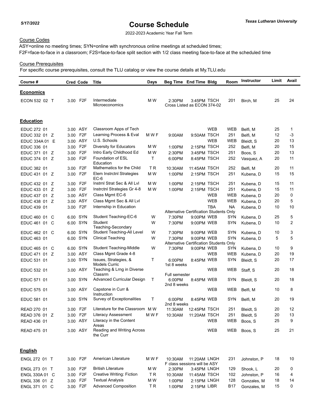2022-2023 Academic Year Fall Term

## Course Codes

ASY=online no meeting times; SYN=online with synchronous online meetings at scheduled times; F2F=face-to-face in a classroom; F2S=face-to-face split section with 1/2 class meeting face-to-face at the scheduled time

### Course Prerequisites

For specific course prerequisites, consult the TLU catalog or view the course details at My.TLU.edu

| Course #         | <b>Cred Code</b>         | Title                                         | Days  | Beg Time End Time Bldg                 |                                                       |            | Room       | Instructor  | Limit | Avail |
|------------------|--------------------------|-----------------------------------------------|-------|----------------------------------------|-------------------------------------------------------|------------|------------|-------------|-------|-------|
| <b>Economics</b> |                          |                                               |       |                                        |                                                       |            |            |             |       |       |
| ECON 532 02 T    | 3.00 F2F                 | Intermediate<br>Microeconomics                | M W   | 2:30PM                                 | 3:45PM TSCH<br>Cross Listed as ECON 374-02            |            | 201        | Birch, M    | 25    | 24    |
| <b>Education</b> |                          |                                               |       |                                        |                                                       |            |            |             |       |       |
| EDUC 272 01      | 3.00 ASY                 | Classroom Apps of Tech                        |       |                                        |                                                       | <b>WEB</b> | <b>WEB</b> | Belfi, M    | 25    | 1     |
| EDUC 332 01 Z    | F <sub>2</sub> F<br>3.00 | Learning Process & Eval                       | M W F | 9:00AM                                 | 9:50AM TSCH                                           |            | 251        | Belfi, M    | 12    | -3    |
| EDUC 334A 01 E   | 3.00 ASY                 | U.S. Schools                                  |       |                                        |                                                       | <b>WEB</b> | <b>WEB</b> | Bleidt, S   | 20    | 13    |
| EDUC 336 01      | F <sub>2</sub> F<br>3.00 | Diversity for Educators                       | M W   | 1:00PM                                 | 2:15PM TSCH                                           |            | 252        | Belfi, M    | 20    | 15    |
| EDUC 371 01 Z    | F <sub>2F</sub><br>3.00  | Intro Early Childhood Ed                      | M W   | 2:30PM                                 | 3:45PM TSCH                                           |            | 251        | Boos, S     | 20    | 13    |
| EDUC 374 01 Z    | F <sub>2F</sub><br>3.00  | Foundation of ESL<br>Education                | T     | 6:00PM                                 | 8:45PM TSCH                                           |            | 252        | Vasquez, A  | 20    | 11    |
| EDUC 382 01      | F <sub>2</sub> F<br>3.00 | Mathematics for the Child                     | ΤR    | 10:30AM                                | 11:45AM TSCH                                          |            | 252        | Belfi, M    | 20    | 11    |
| EDUC 431 01 Z    | F <sub>2F</sub><br>3.00  | Elem Instrctnl Strategies<br>EC-6             | M W   | 1:00PM                                 | 2:15PM TSCH                                           |            | 251        | Kubena, D   | 15    | 15    |
| EDUC 432 01 Z    | F <sub>2</sub> F<br>3.00 | Instrnl Strat Sec & All Lvl                   | M W   | 1:00PM                                 | 2:15PM TSCH                                           |            | 251        | Kubena, D   | 15    | 11    |
| EDUC 433 01 Z    | F <sub>2F</sub><br>3.00  | Instrctnl Strategies Gr 4-8                   | M W   | 1:00PM                                 | 2:15PM TSCH                                           |            | 251        | Kubena, D   | 15    | 11    |
| EDUC 437 01 Z    | 3.00 ASY                 | Class Mgmt EC-6                               |       |                                        |                                                       | WEB        | WEB        | Kubena, D   | 20    | 0     |
| EDUC 438 01 Z    | 3.00 ASY                 | Class Mgmt Sec & All Lvl                      |       |                                        |                                                       | <b>WEB</b> | <b>WEB</b> | Kubena, D   | 20    | 5     |
| EDUC 439 01      | F <sub>2</sub> F<br>3.00 | Internship in Education                       |       |                                        | Alternative Certification Students Only               | <b>TBA</b> | <b>NA</b>  | Kubena, D   | 10    | 10    |
| EDUC 460 01 C    | 6.00 SYN                 | Student Teaching-EC-6                         | W     | 7:30PM                                 | 9:00PM WEB                                            |            | SYN        | Kubena, D   | 25    | 5     |
| EDUC 461 01 C    | 6.00 SYN                 | Student<br>Teaching-Secondary                 | W     | 7:30PM                                 | 9:00PM WEB                                            |            | SYN        | Kubena, D   | 10    | 2     |
| EDUC 462 01 C    | 6.00 SYN                 | Student Teaching-All Level                    | W     | 7:30PM                                 | 9:00PM WEB                                            |            | <b>SYN</b> | Kubena, D   | 10    | 3     |
| EDUC 463 01      | 6.00 SYN                 | <b>Clinical Teaching</b>                      | W     | 7:30PM                                 | 9:00PM WEB<br>Alternative Certification Students Only |            | <b>SYN</b> | Kubena, D   | 5     | 5     |
| EDUC 465 01 C    | 6.00 SYN                 | <b>Student Teaching-Middle</b>                | W     | 7:30PM                                 | 9:00PM WEB                                            |            | <b>SYN</b> | Kubena, D   | 10    | 9     |
| EDUC 471 01 Z    | 3.00 ASY                 | Class Mgmt Grade 4-8                          |       |                                        |                                                       | <b>WEB</b> | <b>WEB</b> | Kubena, D   | 20    | 19    |
| EDUC 531 01      | 3.00 SYN                 | Issues, Strategies, &<br><b>Models Curric</b> | т     | 6:00PM<br>1st 8 weeks                  | 8:45PM WEB                                            |            | <b>SYN</b> | Bleidt, S   | 20    | 17    |
| EDUC 532 01      | 3.00 ASY                 | Teaching & Lrng in Diverse<br>Classrm         |       |                                        |                                                       | <b>WEB</b> | <b>WEB</b> | Staff, S    | 20    | 18    |
| EDUC 571 01      | 3.00 SYN                 | Advanced Curricular Design                    | т     | Full semester<br>6:00PM<br>2nd 8 weeks | 8:45PM WEB                                            |            | SYN        | Bleidt, S   | 20    | 18    |
| EDUC 575 01      | 3.00 ASY                 | Capstone in Curr &<br>Instruction             |       |                                        |                                                       | <b>WEB</b> | <b>WEB</b> | Belfi, M    | 10    | 8     |
| EDUC 581 01      | 3.00 SYN                 | Survey of Exceptionalities                    | т     | 6:00PM<br>2nd 8 weeks                  | 8:45PM WEB                                            |            | SYN        | Belfi, M    | 20    | 19    |
| READ 270 01      | 3.00 F2F                 | Literature for the Classroom MW               |       | 11:30AM                                | 12:45PM TSCH                                          |            | 251        | Bleidt, S   | 20    | 12    |
| READ 376 01 Z    | 3.00 F2F                 | Literacy Assessment                           | M W F | 10:30AM                                | 11:20AM TSCH                                          |            | 251        | Bleidt, S   | 20    | 13    |
| READ 436 01      | 3.00 ASY                 | Literacy in the Content<br>Areas              |       |                                        |                                                       | WEB        | WEB        | Boos, S     | 25    | 9     |
| READ 475 01      | 3.00 ASY                 | Reading and Writing Across<br>the Curr        |       |                                        |                                                       | <b>WEB</b> | <b>WEB</b> | Boos, S     | 25    | 21    |
| <b>English</b>   |                          |                                               |       |                                        |                                                       |            |            |             |       |       |
| ENGL 272 01 T    | 3.00 F2F                 | American Literature                           | M W F | 10:30AM                                | 11:20AM LNGH<br>F class sessions will be ASY          |            | 231        | Johnston, P | 18    | 10    |
| ENGL 273 01 T    | 3.00 F2F                 | <b>British Literature</b>                     | M W   | 2:30PM                                 | 3:45PM LNGH                                           |            | 129        | Shook, L    | 20    | 0     |
| ENGL 330A 01 C   | 3.00 F2F                 | Creative Writing: Fiction                     | TR.   | 10:30AM                                | 11:45AM TSCH                                          |            | 102        | Johnston, P | 16    | 4     |
| ENGL 336 01 Z    | 3.00 F2F                 | <b>Textual Analysis</b>                       | M W   | 1:00PM                                 | 2:15PM LNGH                                           |            | 128        | Gonzales, M | 18    | 14    |

ENGL 336 01 Z 3.00 F2F Textual Analysis M W 1:00PM 2:15PM LNGH 128 Gonzales, M 18 14 ENGL 371 01 C 3.00 F2F Advanced Composition TR 1:00PM 2:15PM LIBR B17 Gonzales, M 15 0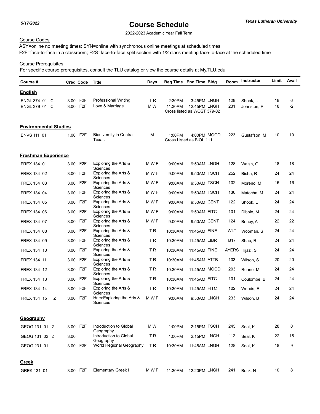2022-2023 Academic Year Fall Term

## Course Codes

ASY=online no meeting times; SYN=online with synchronous online meetings at scheduled times; F2F=face-to-face in a classroom; F2S=face-to-face split section with 1/2 class meeting face-to-face at the scheduled time

## Course Prerequisites

| Course #                       | <b>Cred Code</b>     |                  | Title                                              | Days       |                   | Beg Time End Time Bldg                                     | Room       | <b>Instructor</b>       | Limit    | Avail     |
|--------------------------------|----------------------|------------------|----------------------------------------------------|------------|-------------------|------------------------------------------------------------|------------|-------------------------|----------|-----------|
| <b>English</b>                 |                      |                  |                                                    |            |                   |                                                            |            |                         |          |           |
| ENGL 374 01 C<br>ENGL 379 01 C | 3.00 F2F<br>3.00 F2F |                  | Professional Writing<br>Love & Marriage            | T R<br>M W | 2:30PM<br>11:30AM | 3:45PM LNGH<br>12:45PM LNGH<br>Cross listed as WOST 379-02 | 128<br>231 | Shook, L<br>Johnston, P | 18<br>18 | 6<br>$-2$ |
| <b>Environmental Studies</b>   |                      |                  |                                                    |            |                   |                                                            |            |                         |          |           |
| ENVS 111 01                    | 1.00 F2F             |                  | <b>Biodiversity in Central</b><br>Texas            | M          | 1:00PM            | 4:00PM MOOD<br>Cross Listed as BIOL 111                    | 223        | Gustafson, M            | 10       | 10        |
| <b>Freshman Experience</b>     |                      |                  |                                                    |            |                   |                                                            |            |                         |          |           |
| FREX 134 01                    | 3.00 F2F             |                  | Exploring the Arts &                               | M W F      | 9:00AM            | 9:50AM LNGH                                                | 128        | Walsh, G                | 18       | 18        |
| FREX 134 02                    | 3.00                 | F <sub>2</sub> F | Sciences<br>Exploring the Arts &                   | M W F      | 9:00AM            | 9:50AM TSCH                                                | 252        | Bisha, R                | 24       | 24        |
| FREX 134 03                    | 3.00                 | F <sub>2</sub> F | Sciences<br>Exploring the Arts &                   | M W F      | 9:00AM            | 9:50AM TSCH                                                | 102        | Moreno, M               | 16       | 16        |
| FREX 134 04                    | 3.00 F2F             |                  | Sciences<br>Exploring the Arts &                   | M W F      | 9:00AM            | 9:50AM TSCH                                                | 130        | Matocha, M              | 24       | 24        |
| FREX 134 05                    | 3.00 F2F             |                  | Sciences<br>Exploring the Arts &                   | M W F      | 9:00AM            | 9:50AM CENT                                                | 122        | Shook, L                | 24       | 24        |
| FREX 134 06                    | 3.00 F2F             |                  | Sciences<br>Exploring the Arts &                   | M W F      | 9:00AM            | 9:50AM FITC                                                | 101        | Dibble, M               | 24       | 24        |
| FREX 134 07                    | 3.00 F2F             |                  | Sciences<br>Exploring the Arts &                   | M W F      | 9:00AM            | 9:50AM CENT                                                | 124        | Briney, A               | 22       | 22        |
| FREX 134 08                    | 3.00 F2F             |                  | Sciences<br>Exploring the Arts &                   | T R        | 10:30AM           | 11:45AM FINE                                               | WLT        | Vrooman, S              | 24       | 24        |
| FREX 134 09                    | 3.00 F2F             |                  | Sciences<br>Exploring the Arts &                   | <b>TR</b>  | 10:30AM           | 11:45AM LIBR                                               | <b>B17</b> | Shao, R                 | 24       | 24        |
| FREX 134 10                    | 3.00 F2F             |                  | Sciences<br>Exploring the Arts &                   | <b>TR</b>  | 10:30AM           | 11:45AM FINE                                               |            | AYERS Hijazi, S         | 24       | 24        |
| FREX 134 11                    | 3.00 F2F             |                  | Sciences<br>Exploring the Arts &                   | <b>TR</b>  | 10:30AM           | 11:45AM ATTB                                               | 103        | Wilson, S               | 20       | 20        |
| FREX 134 12                    | 3.00 F2F             |                  | Sciences<br>Exploring the Arts &                   | ΤR         | 10:30AM           | 11:45AM MOOD                                               | 203        | Ruane, M                | 24       | 24        |
| FREX 134 13                    | 3.00 F2F             |                  | Sciences<br>Exploring the Arts &                   | <b>TR</b>  | 10:30AM           | 11:45AM FITC                                               | 101        | Coulombe, B             | 24       | 24        |
| FREX 134 14                    | 3.00 F2F             |                  | Sciences<br>Exploring the Arts &                   | <b>TR</b>  | 10:30AM           | 11:45AM FITC                                               | 102        | Woods, E                | 24       | 24        |
| FREX 134 15 HZ                 | 3.00 F2F             |                  | Sciences<br>Hnrs: Exploring the Arts &<br>Sciences | M W F      | 9:00AM            | 9:50AM LNGH                                                | 233        | Wilson, B               | 24       | 24        |
| Geography                      |                      |                  |                                                    |            |                   |                                                            |            |                         |          |           |
| GEOG 131 01 Z                  | 3.00 F2F             |                  | Introduction to Global                             | M W        | 1:00PM            | 2:15PM TSCH                                                | 245        | Seal, K                 | 28       | 0         |
| GEOG 131 02 Z                  | 3.00                 |                  | Geography<br>Introduction to Global                | TR         | 1:00PM            | 2:15PM LNGH                                                | 112        | Seal, K                 | 22       | 15        |
| GEOG 231 01                    | 3.00 F2F             |                  | Geography<br>World Regional Geography              | TR.        | 10:30AM           | 11:45AM LNGH                                               | 128        | Seal, K                 | 18       | 9         |
|                                |                      |                  |                                                    |            |                   |                                                            |            |                         |          |           |
| Greek                          |                      |                  |                                                    |            |                   |                                                            |            |                         |          |           |
| GREK 131 01                    | 3.00 F2F             |                  | <b>Elementary Greek I</b>                          | M W F      | 11:30AM           | 12:20PM LNGH                                               | 241        | Beck, N                 | 10       | 8         |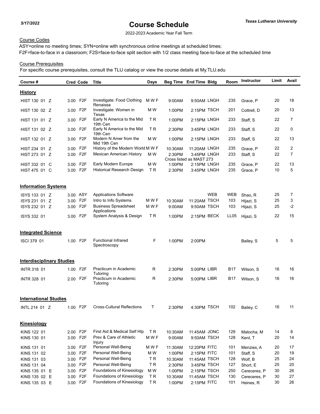2022-2023 Academic Year Fall Term

## Course Codes

ASY=online no meeting times; SYN=online with synchronous online meetings at scheduled times; F2F=face-to-face in a classroom; F2S=face-to-face split section with 1/2 class meeting face-to-face at the scheduled time

## Course Prerequisites

| <u>History</u><br>Investigate: Food Clothing<br>3.00 F2F<br>M W F<br>9:50AM LNGH<br>235<br>20<br>18<br>HIST 130 01 Z<br>9:00AM<br>Grace, P<br>Renaissa<br>3.00 F2F<br>Investigate: Women in<br>M W<br>13<br>HIST 130 02 Z<br>1:00PM<br>2:15PM TSCH<br>201<br>20<br>Cottrell, D<br>Texas<br>Early N America to the Mid<br>ΤR<br>233<br>22<br>7<br>3.00 F2F<br>2:15PM LNGH<br>HIST 131 01 Z<br>1:00PM<br>Staff, S<br>19th Cen<br><b>TR</b><br>0<br>3.00 F2F<br>Early N America to the Mid<br>233<br>22<br>2:30PM<br>3:45PM LNGH<br>HIST 131 02 Z<br>Staff, S<br>19th Cen<br>Modern N Amer from the<br>M W<br>3.00 F2F<br>1:00PM<br>2:15PM LNGH<br>233<br>22<br>13<br>HIST 132 01 Z<br>Staff, S<br>Mid 19th Cen<br>2<br>22<br>F2F<br>History of the Modern World M W F<br>235<br>10:30AM<br>11:20AM LNGH<br>HIST 234 01 Z<br>3.00<br>Grace, P<br>22<br>$\overline{7}$<br>3.00 F2F<br>Mexican American History<br>M W<br>233<br>HIST 273 01 Z<br>2:30PM<br>3:45PM LNGH<br>Staff, S<br>Cross listed as MAST 273<br>3.00 F2F<br>Early Modern Europe<br>M W<br>22<br>13<br>1:00PM<br>235<br>HIST 332 01 C<br>2:15PM LNGH<br>Grace, P<br>Historical Research Design<br><b>TR</b><br>10<br>5<br>3.00 F2F<br>235<br>2:30PM<br>HIST 475 01 C<br>3:45PM LNGH<br>Grace, P<br><b>Information Systems</b><br>3.00 ASY<br><b>Applications Software</b><br><b>WEB</b><br>WEB<br>25<br>7<br>ISYS 133 01 Z<br>Shao, R<br>11:20AM TSCH<br>3<br>3.00 F2F<br>Intro to Info Systems<br>M W F<br>25<br>103<br>ISYS 231 01 Z<br>10:30AM<br>Hijazi, S<br>$-2$<br>F <sub>2</sub> F<br><b>Business Spreadsheet</b><br>M W F<br>25<br>9:50AM TSCH<br>103<br>ISYS 232 01 Z<br>9:00AM<br>3.00<br>Hijazi, S<br>Applications<br>System Analysis & Design<br>T R<br>22<br>15<br>F2F<br>2:15PM BECK<br>LL <sub>05</sub><br>ISYS 332 01<br>1:00PM<br>Hijazi, S<br>3.00<br><b>Integrated Science</b><br><b>Functional Infrared</b><br>F<br>5<br>5<br>1.00 F2F<br>1:00PM<br>ISCI 379 01<br>2:00PM<br>Bailey, S<br>Spectroscopy<br><b>Interdisciplinary Studies</b><br>1.00 F2F<br>Practicum in Academic<br>R<br>2:30PM<br>5:00PM LIBR<br>B17<br>16<br>16<br><b>INTR 318 01</b><br>Wilson, S<br>Tutoring<br>Practicum in Academic<br>F <sub>2</sub> F<br>R<br>16<br><b>INTR 328 01</b><br>2:30PM<br>5:00PM LIBR<br>B17<br>Wilson, S<br>16<br>2.00<br>Tutoring<br><b>International Studies</b><br>1.00 F2F<br>Cross-Cultural Reflections<br>Τ<br>11<br>4:30PM TSCH<br>102<br>16<br>INTL 214 01 Z<br>2:30PM<br>Bailey, C<br>Kinesiology<br>First Aid & Medical Self Hlp<br>2.00 F2F<br>TR.<br>8<br>KINS 122 01<br>11:45AM JONC<br>129<br>14<br>10:30AM<br>Matocha, M | Course # | <b>Cred Code</b> | <b>Title</b> | Days | Beg Time End Time Bldg | <b>Room</b> | Instructor | Limit | Avail |
|-----------------------------------------------------------------------------------------------------------------------------------------------------------------------------------------------------------------------------------------------------------------------------------------------------------------------------------------------------------------------------------------------------------------------------------------------------------------------------------------------------------------------------------------------------------------------------------------------------------------------------------------------------------------------------------------------------------------------------------------------------------------------------------------------------------------------------------------------------------------------------------------------------------------------------------------------------------------------------------------------------------------------------------------------------------------------------------------------------------------------------------------------------------------------------------------------------------------------------------------------------------------------------------------------------------------------------------------------------------------------------------------------------------------------------------------------------------------------------------------------------------------------------------------------------------------------------------------------------------------------------------------------------------------------------------------------------------------------------------------------------------------------------------------------------------------------------------------------------------------------------------------------------------------------------------------------------------------------------------------------------------------------------------------------------------------------------------------------------------------------------------------------------------------------------------------------------------------------------------------------------------------------------------------------------------------------------------------------------------------------------------------------------------------------------------------------------------------------------------------------------------------------------------------------------------------------------------------------------------------------------|----------|------------------|--------------|------|------------------------|-------------|------------|-------|-------|
|                                                                                                                                                                                                                                                                                                                                                                                                                                                                                                                                                                                                                                                                                                                                                                                                                                                                                                                                                                                                                                                                                                                                                                                                                                                                                                                                                                                                                                                                                                                                                                                                                                                                                                                                                                                                                                                                                                                                                                                                                                                                                                                                                                                                                                                                                                                                                                                                                                                                                                                                                                                                                             |          |                  |              |      |                        |             |            |       |       |
|                                                                                                                                                                                                                                                                                                                                                                                                                                                                                                                                                                                                                                                                                                                                                                                                                                                                                                                                                                                                                                                                                                                                                                                                                                                                                                                                                                                                                                                                                                                                                                                                                                                                                                                                                                                                                                                                                                                                                                                                                                                                                                                                                                                                                                                                                                                                                                                                                                                                                                                                                                                                                             |          |                  |              |      |                        |             |            |       |       |
|                                                                                                                                                                                                                                                                                                                                                                                                                                                                                                                                                                                                                                                                                                                                                                                                                                                                                                                                                                                                                                                                                                                                                                                                                                                                                                                                                                                                                                                                                                                                                                                                                                                                                                                                                                                                                                                                                                                                                                                                                                                                                                                                                                                                                                                                                                                                                                                                                                                                                                                                                                                                                             |          |                  |              |      |                        |             |            |       |       |
|                                                                                                                                                                                                                                                                                                                                                                                                                                                                                                                                                                                                                                                                                                                                                                                                                                                                                                                                                                                                                                                                                                                                                                                                                                                                                                                                                                                                                                                                                                                                                                                                                                                                                                                                                                                                                                                                                                                                                                                                                                                                                                                                                                                                                                                                                                                                                                                                                                                                                                                                                                                                                             |          |                  |              |      |                        |             |            |       |       |
|                                                                                                                                                                                                                                                                                                                                                                                                                                                                                                                                                                                                                                                                                                                                                                                                                                                                                                                                                                                                                                                                                                                                                                                                                                                                                                                                                                                                                                                                                                                                                                                                                                                                                                                                                                                                                                                                                                                                                                                                                                                                                                                                                                                                                                                                                                                                                                                                                                                                                                                                                                                                                             |          |                  |              |      |                        |             |            |       |       |
|                                                                                                                                                                                                                                                                                                                                                                                                                                                                                                                                                                                                                                                                                                                                                                                                                                                                                                                                                                                                                                                                                                                                                                                                                                                                                                                                                                                                                                                                                                                                                                                                                                                                                                                                                                                                                                                                                                                                                                                                                                                                                                                                                                                                                                                                                                                                                                                                                                                                                                                                                                                                                             |          |                  |              |      |                        |             |            |       |       |
|                                                                                                                                                                                                                                                                                                                                                                                                                                                                                                                                                                                                                                                                                                                                                                                                                                                                                                                                                                                                                                                                                                                                                                                                                                                                                                                                                                                                                                                                                                                                                                                                                                                                                                                                                                                                                                                                                                                                                                                                                                                                                                                                                                                                                                                                                                                                                                                                                                                                                                                                                                                                                             |          |                  |              |      |                        |             |            |       |       |
|                                                                                                                                                                                                                                                                                                                                                                                                                                                                                                                                                                                                                                                                                                                                                                                                                                                                                                                                                                                                                                                                                                                                                                                                                                                                                                                                                                                                                                                                                                                                                                                                                                                                                                                                                                                                                                                                                                                                                                                                                                                                                                                                                                                                                                                                                                                                                                                                                                                                                                                                                                                                                             |          |                  |              |      |                        |             |            |       |       |
|                                                                                                                                                                                                                                                                                                                                                                                                                                                                                                                                                                                                                                                                                                                                                                                                                                                                                                                                                                                                                                                                                                                                                                                                                                                                                                                                                                                                                                                                                                                                                                                                                                                                                                                                                                                                                                                                                                                                                                                                                                                                                                                                                                                                                                                                                                                                                                                                                                                                                                                                                                                                                             |          |                  |              |      |                        |             |            |       |       |
|                                                                                                                                                                                                                                                                                                                                                                                                                                                                                                                                                                                                                                                                                                                                                                                                                                                                                                                                                                                                                                                                                                                                                                                                                                                                                                                                                                                                                                                                                                                                                                                                                                                                                                                                                                                                                                                                                                                                                                                                                                                                                                                                                                                                                                                                                                                                                                                                                                                                                                                                                                                                                             |          |                  |              |      |                        |             |            |       |       |
|                                                                                                                                                                                                                                                                                                                                                                                                                                                                                                                                                                                                                                                                                                                                                                                                                                                                                                                                                                                                                                                                                                                                                                                                                                                                                                                                                                                                                                                                                                                                                                                                                                                                                                                                                                                                                                                                                                                                                                                                                                                                                                                                                                                                                                                                                                                                                                                                                                                                                                                                                                                                                             |          |                  |              |      |                        |             |            |       |       |
|                                                                                                                                                                                                                                                                                                                                                                                                                                                                                                                                                                                                                                                                                                                                                                                                                                                                                                                                                                                                                                                                                                                                                                                                                                                                                                                                                                                                                                                                                                                                                                                                                                                                                                                                                                                                                                                                                                                                                                                                                                                                                                                                                                                                                                                                                                                                                                                                                                                                                                                                                                                                                             |          |                  |              |      |                        |             |            |       |       |
|                                                                                                                                                                                                                                                                                                                                                                                                                                                                                                                                                                                                                                                                                                                                                                                                                                                                                                                                                                                                                                                                                                                                                                                                                                                                                                                                                                                                                                                                                                                                                                                                                                                                                                                                                                                                                                                                                                                                                                                                                                                                                                                                                                                                                                                                                                                                                                                                                                                                                                                                                                                                                             |          |                  |              |      |                        |             |            |       |       |
|                                                                                                                                                                                                                                                                                                                                                                                                                                                                                                                                                                                                                                                                                                                                                                                                                                                                                                                                                                                                                                                                                                                                                                                                                                                                                                                                                                                                                                                                                                                                                                                                                                                                                                                                                                                                                                                                                                                                                                                                                                                                                                                                                                                                                                                                                                                                                                                                                                                                                                                                                                                                                             |          |                  |              |      |                        |             |            |       |       |
|                                                                                                                                                                                                                                                                                                                                                                                                                                                                                                                                                                                                                                                                                                                                                                                                                                                                                                                                                                                                                                                                                                                                                                                                                                                                                                                                                                                                                                                                                                                                                                                                                                                                                                                                                                                                                                                                                                                                                                                                                                                                                                                                                                                                                                                                                                                                                                                                                                                                                                                                                                                                                             |          |                  |              |      |                        |             |            |       |       |
|                                                                                                                                                                                                                                                                                                                                                                                                                                                                                                                                                                                                                                                                                                                                                                                                                                                                                                                                                                                                                                                                                                                                                                                                                                                                                                                                                                                                                                                                                                                                                                                                                                                                                                                                                                                                                                                                                                                                                                                                                                                                                                                                                                                                                                                                                                                                                                                                                                                                                                                                                                                                                             |          |                  |              |      |                        |             |            |       |       |
|                                                                                                                                                                                                                                                                                                                                                                                                                                                                                                                                                                                                                                                                                                                                                                                                                                                                                                                                                                                                                                                                                                                                                                                                                                                                                                                                                                                                                                                                                                                                                                                                                                                                                                                                                                                                                                                                                                                                                                                                                                                                                                                                                                                                                                                                                                                                                                                                                                                                                                                                                                                                                             |          |                  |              |      |                        |             |            |       |       |
|                                                                                                                                                                                                                                                                                                                                                                                                                                                                                                                                                                                                                                                                                                                                                                                                                                                                                                                                                                                                                                                                                                                                                                                                                                                                                                                                                                                                                                                                                                                                                                                                                                                                                                                                                                                                                                                                                                                                                                                                                                                                                                                                                                                                                                                                                                                                                                                                                                                                                                                                                                                                                             |          |                  |              |      |                        |             |            |       |       |
|                                                                                                                                                                                                                                                                                                                                                                                                                                                                                                                                                                                                                                                                                                                                                                                                                                                                                                                                                                                                                                                                                                                                                                                                                                                                                                                                                                                                                                                                                                                                                                                                                                                                                                                                                                                                                                                                                                                                                                                                                                                                                                                                                                                                                                                                                                                                                                                                                                                                                                                                                                                                                             |          |                  |              |      |                        |             |            |       |       |
|                                                                                                                                                                                                                                                                                                                                                                                                                                                                                                                                                                                                                                                                                                                                                                                                                                                                                                                                                                                                                                                                                                                                                                                                                                                                                                                                                                                                                                                                                                                                                                                                                                                                                                                                                                                                                                                                                                                                                                                                                                                                                                                                                                                                                                                                                                                                                                                                                                                                                                                                                                                                                             |          |                  |              |      |                        |             |            |       |       |
|                                                                                                                                                                                                                                                                                                                                                                                                                                                                                                                                                                                                                                                                                                                                                                                                                                                                                                                                                                                                                                                                                                                                                                                                                                                                                                                                                                                                                                                                                                                                                                                                                                                                                                                                                                                                                                                                                                                                                                                                                                                                                                                                                                                                                                                                                                                                                                                                                                                                                                                                                                                                                             |          |                  |              |      |                        |             |            |       |       |
|                                                                                                                                                                                                                                                                                                                                                                                                                                                                                                                                                                                                                                                                                                                                                                                                                                                                                                                                                                                                                                                                                                                                                                                                                                                                                                                                                                                                                                                                                                                                                                                                                                                                                                                                                                                                                                                                                                                                                                                                                                                                                                                                                                                                                                                                                                                                                                                                                                                                                                                                                                                                                             |          |                  |              |      |                        |             |            |       |       |
|                                                                                                                                                                                                                                                                                                                                                                                                                                                                                                                                                                                                                                                                                                                                                                                                                                                                                                                                                                                                                                                                                                                                                                                                                                                                                                                                                                                                                                                                                                                                                                                                                                                                                                                                                                                                                                                                                                                                                                                                                                                                                                                                                                                                                                                                                                                                                                                                                                                                                                                                                                                                                             |          |                  |              |      |                        |             |            |       |       |
|                                                                                                                                                                                                                                                                                                                                                                                                                                                                                                                                                                                                                                                                                                                                                                                                                                                                                                                                                                                                                                                                                                                                                                                                                                                                                                                                                                                                                                                                                                                                                                                                                                                                                                                                                                                                                                                                                                                                                                                                                                                                                                                                                                                                                                                                                                                                                                                                                                                                                                                                                                                                                             |          |                  |              |      |                        |             |            |       |       |
|                                                                                                                                                                                                                                                                                                                                                                                                                                                                                                                                                                                                                                                                                                                                                                                                                                                                                                                                                                                                                                                                                                                                                                                                                                                                                                                                                                                                                                                                                                                                                                                                                                                                                                                                                                                                                                                                                                                                                                                                                                                                                                                                                                                                                                                                                                                                                                                                                                                                                                                                                                                                                             |          |                  |              |      |                        |             |            |       |       |
|                                                                                                                                                                                                                                                                                                                                                                                                                                                                                                                                                                                                                                                                                                                                                                                                                                                                                                                                                                                                                                                                                                                                                                                                                                                                                                                                                                                                                                                                                                                                                                                                                                                                                                                                                                                                                                                                                                                                                                                                                                                                                                                                                                                                                                                                                                                                                                                                                                                                                                                                                                                                                             |          |                  |              |      |                        |             |            |       |       |
|                                                                                                                                                                                                                                                                                                                                                                                                                                                                                                                                                                                                                                                                                                                                                                                                                                                                                                                                                                                                                                                                                                                                                                                                                                                                                                                                                                                                                                                                                                                                                                                                                                                                                                                                                                                                                                                                                                                                                                                                                                                                                                                                                                                                                                                                                                                                                                                                                                                                                                                                                                                                                             |          |                  |              |      |                        |             |            |       |       |
| Prev & Care of Athletic<br>3.00 F2F<br>M W F<br>128<br>20<br>14<br>9:50AM TSCH<br>KINS 130 01<br>9:00AM<br>Kent, T                                                                                                                                                                                                                                                                                                                                                                                                                                                                                                                                                                                                                                                                                                                                                                                                                                                                                                                                                                                                                                                                                                                                                                                                                                                                                                                                                                                                                                                                                                                                                                                                                                                                                                                                                                                                                                                                                                                                                                                                                                                                                                                                                                                                                                                                                                                                                                                                                                                                                                          |          |                  |              |      |                        |             |            |       |       |
| Injury<br>Personal Well-Being<br>F <sub>2</sub> F<br>M W F<br>12:20PM FITC<br>20<br>17<br>101<br>KINS 131 01<br>3.00<br>11:30AM<br>Menzies, A                                                                                                                                                                                                                                                                                                                                                                                                                                                                                                                                                                                                                                                                                                                                                                                                                                                                                                                                                                                                                                                                                                                                                                                                                                                                                                                                                                                                                                                                                                                                                                                                                                                                                                                                                                                                                                                                                                                                                                                                                                                                                                                                                                                                                                                                                                                                                                                                                                                                               |          |                  |              |      |                        |             |            |       |       |
| F <sub>2</sub> F<br>Personal Well-Being<br>M W<br>2:15PM FITC<br>101<br>20<br>19<br>KINS 131 02<br>1:00PM<br>Staff, S<br>3.00                                                                                                                                                                                                                                                                                                                                                                                                                                                                                                                                                                                                                                                                                                                                                                                                                                                                                                                                                                                                                                                                                                                                                                                                                                                                                                                                                                                                                                                                                                                                                                                                                                                                                                                                                                                                                                                                                                                                                                                                                                                                                                                                                                                                                                                                                                                                                                                                                                                                                               |          |                  |              |      |                        |             |            |       |       |
| Personal Well-Being<br>F <sub>2</sub> F<br>TR.<br>128<br>25<br>24<br>KINS 131 03<br>3.00<br>11:45AM TSCH<br>Wolf, B<br>10:30AM                                                                                                                                                                                                                                                                                                                                                                                                                                                                                                                                                                                                                                                                                                                                                                                                                                                                                                                                                                                                                                                                                                                                                                                                                                                                                                                                                                                                                                                                                                                                                                                                                                                                                                                                                                                                                                                                                                                                                                                                                                                                                                                                                                                                                                                                                                                                                                                                                                                                                              |          |                  |              |      |                        |             |            |       |       |
| Personal Well-Being<br>3.00 F2F<br>TR.<br>25<br>20<br>KINS 131 04<br>2:30PM<br>3:45PM TSCH<br>127<br>Short, E                                                                                                                                                                                                                                                                                                                                                                                                                                                                                                                                                                                                                                                                                                                                                                                                                                                                                                                                                                                                                                                                                                                                                                                                                                                                                                                                                                                                                                                                                                                                                                                                                                                                                                                                                                                                                                                                                                                                                                                                                                                                                                                                                                                                                                                                                                                                                                                                                                                                                                               |          |                  |              |      |                        |             |            |       |       |
| Foundations of Kinesiology<br>3.00 F2F<br>M W<br>30<br>26<br>1:00PM<br>2:15PM TSCH<br>250<br>KINS 135 01 E<br>Cereceres, P                                                                                                                                                                                                                                                                                                                                                                                                                                                                                                                                                                                                                                                                                                                                                                                                                                                                                                                                                                                                                                                                                                                                                                                                                                                                                                                                                                                                                                                                                                                                                                                                                                                                                                                                                                                                                                                                                                                                                                                                                                                                                                                                                                                                                                                                                                                                                                                                                                                                                                  |          |                  |              |      |                        |             |            |       |       |
| Foundations of Kinesiology<br>3.00 F2F<br>TR.<br>30<br>27<br>KINS 135 02 E<br>10:30AM<br>11:45AM TSCH<br>130<br>Cereceres, P                                                                                                                                                                                                                                                                                                                                                                                                                                                                                                                                                                                                                                                                                                                                                                                                                                                                                                                                                                                                                                                                                                                                                                                                                                                                                                                                                                                                                                                                                                                                                                                                                                                                                                                                                                                                                                                                                                                                                                                                                                                                                                                                                                                                                                                                                                                                                                                                                                                                                                |          |                  |              |      |                        |             |            |       |       |
| Foundations of Kinesiology<br>26<br>3.00 F2F<br>TR.<br>2:15PM FITC<br>101<br>30<br>KINS 135 03 E<br>1:00PM<br>Heines, R                                                                                                                                                                                                                                                                                                                                                                                                                                                                                                                                                                                                                                                                                                                                                                                                                                                                                                                                                                                                                                                                                                                                                                                                                                                                                                                                                                                                                                                                                                                                                                                                                                                                                                                                                                                                                                                                                                                                                                                                                                                                                                                                                                                                                                                                                                                                                                                                                                                                                                     |          |                  |              |      |                        |             |            |       |       |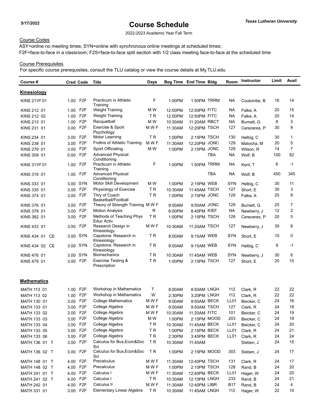2022-2023 Academic Year Fall Term

## Course Codes

ASY=online no meeting times; SYN=online with synchronous online meetings at scheduled times; F2F=face-to-face in a classroom; F2S=face-to-face split section with 1/2 class meeting face-to-face at the scheduled time

## Course Prerequisites

| Course #                 | <b>Cred Code</b> |                  | Title                                    | <b>Days</b> |         | Beg Time End Time Bldg |     | Room             | Instructor   | Limit | Avail          |
|--------------------------|------------------|------------------|------------------------------------------|-------------|---------|------------------------|-----|------------------|--------------|-------|----------------|
| <b>Kinesiology</b>       |                  |                  |                                          |             |         |                        |     |                  |              |       |                |
| KINS 211P 01             | 1.00 F2F         |                  | Practicum in Athletic<br>Training        | F           | 1:00PM  | 1:50PM TRRM            |     | NА               | Coulombe, B  | 16    | 14             |
| KINS 212 01              | 1.00             | F <sub>2</sub> F | <b>Weight Training</b>                   | M W         | 12:00PM | 12:50PM FITC           |     | NА               | Falke, A     | 20    | 15             |
| KINS 212 02              | 1.00             | F <sub>2</sub> F | Weight Training                          | T R         | 12:00PM | 12:50PM FITC           |     | <b>NA</b>        | Falke, A     | 20    | 14             |
| KINS 213 01              | 1.00             | F <sub>2</sub> F | Racquetball                              | M W         | 10:30AM | 11:20AM RBCT           |     | NА               | Burnett, G   | 8     | 3              |
| KINS 231 01              | 3.00             | F <sub>2F</sub>  | Exercise & Sport<br>Psychology           | M W F       | 11:30AM | 12:20PM TSCH           |     | 127              | Cereceres, P | 30    | 9              |
| KINS 234 01              | 3.00 F2F         |                  | Motor Learning                           | ΤR          | 1:00PM  | 2:15PM TSCH            |     | 130              | Helbig, C    | 30    | $\mathbf{1}$   |
| KINS 238 01              | 3.00             | F <sub>2</sub> F | <b>Fndtns of Athletic Training</b>       | M W F       | 11:30AM | 12:20PM JONC           |     | 129              | Matocha, M   | 20    | 5              |
| KINS 279 01              | 3.00             | F <sub>2</sub> F | Sport Officiating                        | M W         | 1:00PM  | 2:15PM JONC            |     | 129              | Wilson, R    | 14    | $\overline{7}$ |
| KINS 309 01              | 0.00             | F <sub>2</sub> F | <b>Advanced Physical</b><br>Conditioning |             |         |                        | TBA | <b>NA</b>        | Wolf, B      | 100   | 82             |
| KINS 311P 01             | 1.00             | F <sub>2</sub> F | Practicum in Athletic<br>Training        | F           | 1:00PM  | 1:50PM TRRM            |     | NА               | Kent, T      | 6     | $-1$           |
| KINS 319 01              | 1.00             | F2F              | <b>Advanced Physical</b><br>Conditioning |             |         |                        | TBA | NА               | Wolf, B      | 450   | 345            |
| KINS 333 01              | 3.00 SYN         |                  | Motor Skill Development                  | M W         | 1:00PM  | 2:15PM WEB             |     | SYN              | Helbig, C    | 30    | 11             |
| KINS 335 01              | 3.00             | F <sub>2</sub> F | Physiology of Exercise                   | <b>TR</b>   | 10:30AM | 11:45AM TSCH           |     | 127              | Short. E     | 30    | 3              |
| KINS 374 01              | 3.00             | F <sub>2</sub> F | Thry of Coach<br>Basketball/Football     | <b>TR</b>   | 1:00PM  | 2:15PM JONC            |     | 129              | Falke, A     | 25    | 8              |
| KINS 376 01              | 3.00             | F <sub>2</sub> F | Theory of Strength Training M W F        |             | 9:00AM  | 9:50AM JONC            |     | 129              | Burnett, G   | 25    | 7              |
| KINS 379 01              | 3.00             | F <sub>2</sub> F | <b>Motion Analysis</b>                   | R           | 6:00PM  | 8:45PM KIEF            |     | <b>NA</b>        | Newberry, J  | 12    | 2              |
| KINS 382 01              | 3.00             | F <sub>2</sub> F | Methods of Teaching Phys<br>Educ Activ   | <b>TR</b>   | 1:00PM  | 2:15PM TSCH            |     | 128              | Cereceres, P | 20    | 5              |
| KINS 433 01              | 3.00             | F <sub>2</sub> F | Research Design in<br>Kinesiology        | M W F       | 10:30AM | 11:20AM TSCH           |     | 127              | Newberry, J  | 30    | 8              |
| KINS 434 01<br><b>CE</b> | 3.00 SYN         |                  | Capstone: Research in<br>Kinesiology     | T R         | 8:00AM  | 9:15AM WEB             |     | SYN              | Short, E     | 10    | 0              |
| KINS 434 02 CE           | 3.00             | SYN              | Capstone: Research in<br>Kinesiology     | T R         | 8:00AM  | 9:15AM WEB             |     | SYN              | Helbig, C    | 9     | $-1$           |
| KINS 476 01              | 3.00 SYN         |                  | <b>Biomechanics</b>                      | ΤR          | 10:30AM | 11:45AM WEB            |     | SYN              | Newberry, J  | 30    | 6              |
| KINS 479 01              | 3.00 F2F         |                  | Exercise Testing &<br>Prescription       | TR          | 1:00PM  | 2:15PM TSCH            |     | 127              | Short, E     | 20    | 10             |
| <b>Mathematics</b>       |                  |                  |                                          |             |         |                        |     |                  |              |       |                |
| MATH 113 01              | 1.00             | F <sub>2</sub> F | Workshop in Mathematics                  | т           | 8:00AM  | 8:50AM LNGH            |     | 112              | Clark, R     | 22    | 22             |
| MATH 113 02              | 1.00             | F <sub>2</sub> F | Workshop in Mathematics                  | W           | 2:30PM  | 3:20PM LNGH            |     | 112              | Clark, R     | 22    | 22             |
| MATH 130 01              | 3.00             | F <sub>2</sub> F | College Mathematics                      | M W F       | 9:00AM  | 9:50AM BECK            |     | LL01             | Beicker, C   | 24    | 16             |
| MATH 133 01              | 3.00 F2F         |                  | College Algebra                          | M W F       | 9:00AM  | 9:50AM TSCH            |     | 127              | Clark, R     | 24    | 18             |
| MATH 133 02              | 3.00 F2F         |                  | College Algebra                          | M W F       | 10:30AM | 11:20AM FITC           |     | 101              | Beicker, C   | 24    | 19             |
| MATH 133 03              | 3.00 F2F         |                  | College Algebra                          | M W         | 1:00PM  | 2:15PM MOOD            |     | 203              | Beicker, C   | 24    | 18             |
| MATH 133 04              | 3.00 F2F         |                  | College Algebra                          | TR.         | 10:30AM | 11:45AM BECK           |     | LL01             | Beicker, C   | 24    | 20             |
| MATH 133 05              | 3.00 F2F         |                  | College Algebra                          | TR.         | 1:00PM  | 2:15PM BECK            |     | LL01             | Clark, R     | 24    | 21             |
| MATH 133 06              | 3.00 F2F         |                  | College Algebra                          | TR.         | 2:30PM  | 3:45PM BECK            |     | LL01             | Clark, R     | 24    | 24             |
| MATH 136 01 T            | 3.00 F2F         |                  | Calculus for Bus, Econ&Soc<br>Sci        | TR          | 10:30AM | 11:45AM                |     |                  | Sieben, J    | 24    | 15             |
| MATH 136 02 T            | 3.00 F2F         |                  | Calculus for Bus, Econ&Soc<br>Sci        | TR.         | 1:00PM  | 2:15PM MOOD            |     | 303              | Sieben, J    | 24    | 17             |
| MATH 148 01 T            | 4.00 F2F         |                  | Precalculus                              | M W F       | 11:30AM | 12:40PM TSCH           |     | 131              | Clark, R     | 24    | 17             |
| MATH 148 02 T            | 4.00             | F <sub>2</sub> F | Precalculus                              | M W F       | 1:00PM  | 2:10PM TSCH            |     | 128              | Rand, B      | 24    | 20             |
| MATH 241 01 T            | 4.00 F2F         |                  | Calculus I                               | M W F       | 11:30AM | 12:40PM BECK           |     | LL <sub>01</sub> | Hager, W     | 24    | 20             |
| MATH 241 02 T            | 4.00 F2F         |                  | Calculus I                               | TR.         | 10:30AM | 12:10PM LNGH           |     | 233              | Rand, B      | 24    | 21             |
| MATH 242 01              | 4.00 F2F         |                  | Calculus II                              | M W F       | 11:30AM | 12:40PM LIBR           |     | <b>B17</b>       | Rand, B      | 24    | 4              |
| MATH 331 01              | 3.00 F2F         |                  | Elementary Linear Algebra                | TR.         | 10:30AM | 11:45AM LNGH           |     | 112              | Hager, W     | 22    | 10             |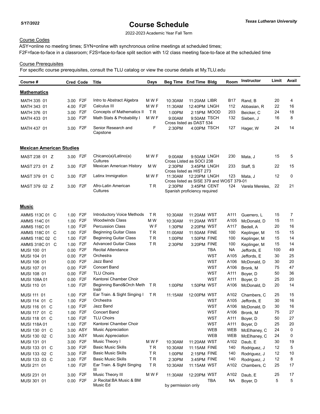2022-2023 Academic Year Fall Term

## Course Codes

ASY=online no meeting times; SYN=online with synchronous online meetings at scheduled times; F2F=face-to-face in a classroom; F2S=face-to-face split section with 1/2 class meeting face-to-face at the scheduled time

## Course Prerequisites

| Course #                        | <b>Cred Code</b> |                  | Title                                 | Days           | Beg Time End Time Bldg                              |                                         |            | Room       | Instructor      | Limit | Avail |
|---------------------------------|------------------|------------------|---------------------------------------|----------------|-----------------------------------------------------|-----------------------------------------|------------|------------|-----------------|-------|-------|
| <b>Mathematics</b>              |                  |                  |                                       |                |                                                     |                                         |            |            |                 |       |       |
| MATH 335 01                     | 3.00 F2F         |                  | Intro to Abstract Algebra             | M W F          | 10:30AM                                             | 11:20AM LIBR                            |            | B17        | Rand, B         | 20    | 4     |
| MATH 343 01                     | 4.00 F2F         |                  | Calculus III                          | M W F          | 11:30AM                                             | 12:40PM LNGH                            |            | 112        | Abbasian, R     | 22    | 16    |
| MATH 376 01                     | 3.00 F2F         |                  | Concepts of Mathematics II            | T <sub>R</sub> | 1:00PM                                              | 2:15PM MOOD                             |            | 203        | Beicker, C      | 24    | 18    |
| MATH 433 01                     | 3.00 F2F         |                  | Math Stats & Probability I            | M W F          | 9:00AM                                              | 9:50AM TSCH                             |            | 132        | Sieben, J       | 16    | 8     |
|                                 |                  |                  |                                       |                |                                                     | Cross listed as DAST 534                |            |            |                 |       |       |
| MATH 437 01                     | 3.00 F2F         |                  | Senior Research and<br>Capstone       | F              | 2:30PM                                              | 4:00PM TSCH                             |            | 127        | Hager, W        | 24    | 14    |
| <b>Mexican American Studies</b> |                  |                  |                                       |                |                                                     |                                         |            |            |                 |       |       |
| MAST 238 01 Z                   | 3.00 F2F         |                  | Chicano(a)/Latino(a)<br>Cultures      | M W F          | 9:00AM                                              | 9:50AM LNGH<br>Cross Listed as SOCI 238 |            | 230        | Mata, J         | 15    | 5     |
| MAST 273 01 Z                   | 3.00 F2F         |                  | Mexican American History              | M W            | 2:30PM                                              | 3:45PM LNGH<br>Cross listed as HIST 273 |            | 233        | Staff, S        | 22    | 15    |
| MAST 379 01 C                   | 3.00 F2F         |                  | Latinx Immigration                    | M W F          | 11:30AM<br>Cross listed as SISE 379 and WOST 379-01 | 12:20PM LNGH                            |            | 123        | Mata, J         | 12    | 0     |
| MAST 379 02 Z                   | 3.00 F2F         |                  | Afro-Latin American                   | TR.            | 2:30PM                                              | 3:45PM CENT                             |            | 124        | Varela Mereles, | 22    | 21    |
|                                 |                  |                  | Cultures                              |                | Spanish proficiency required                        |                                         |            |            |                 |       |       |
| Music                           |                  |                  |                                       |                |                                                     |                                         |            |            |                 |       |       |
| AMMS 113C 01 C                  | 1.00 F2F         |                  | Introductory Voice Methods            | T R            | 10:30AM                                             | 11:20AM WST                             |            | A111       | Guerrero, L     | 15    | 7     |
| <b>AMMS 114C 01</b>             | 1.00 F2F         |                  | <b>Woodwinds Class</b>                | M W            | 10:30AM                                             | 11:20AM WST                             |            | A105       | McDonald, D     | 15    | 11    |
| <b>AMMS 116C 01</b>             | 1.00             | F2F              | <b>Percussion Class</b>               | W <sub>F</sub> | 1:30PM                                              | 2:20PM WST                              |            | A117       | Bedell, A       | 20    | 16    |
| AMMS 118C 01 C                  | 1.00 F2F         |                  | <b>Beginning Guitar Class</b>         | ΤR             | 11:00AM                                             | 11:50AM FINE                            |            | 100        | Keplinger, M    | 15    | 15    |
| AMMS 118C 02 C                  | 1.00 F2F         |                  | <b>Beginning Guitar Class</b>         | ΤR             | 1:00PM                                              | 1:50PM FINE                             |            | 100        | Keplinger, M    | 15    | 14    |
| AMMS 318C 01 C                  | 1.00 F2F         |                  | <b>Advanced Guitar Class</b>          | ΤR             | 2:30PM                                              | 3:20PM FINE                             |            | 100        | Keplinger, M    | 15    | 14    |
| MUSI 100 01                     | 0.00             | F <sub>2</sub> F | <b>Recital Attendance</b>             |                |                                                     |                                         | TBA        | NA.        | Jeffords, E     | 100   | 49    |
| MUSI 104 01                     | 0.00 F2F         |                  | Orchestra                             |                |                                                     |                                         | <b>WST</b> | A105       | Jeffords, E     | 30    | 25    |
| MUSI 106 01                     | 0.00             | F <sub>2</sub> F | Jazz Band                             |                |                                                     |                                         | WST        | A106       | McDonald, D     | 30    | 20    |
| MUSI 107 01                     | 0.00             | F <sub>2</sub> F | Concert Band                          |                |                                                     |                                         | <b>WST</b> | A106       | Bronk, M        | 75    | 47    |
| MUSI 108 01                     | 0.00 F2F         |                  | <b>TLU Choirs</b>                     |                |                                                     |                                         | <b>WST</b> | A111       | Boyer, D        | 50    | 36    |
| <b>MUSI 108A01</b>              | 0.00 F2F         |                  | Kantorei Chamber Choir                |                |                                                     |                                         | <b>WST</b> | A111       | Boyer, D        | 25    | 20    |
| MUSI 110 01                     | 1.00 F2F         |                  | Beginning Band&Orch Meth<br>Instr     | T R            | 1:00PM                                              | 1:50PM WST                              |            | A106       | McDonald, D     | 20    | 14    |
| MUSI 111 01                     | 1.00 F2F         |                  | Ear Train. & Sight Singing I          | T R            | 11:15AM                                             | 12:00PM WST                             |            | A102       | Chambers, C     | 25    | 15    |
| MUSI 114 01 C                   | 1.00 F2F         |                  | Orchestra                             |                |                                                     |                                         | <b>WST</b> | A105       | Jeffords, E     | 30    | 16    |
| MUSI 116 01 C                   | 1.00 F2F         |                  | Jazz Band                             |                |                                                     |                                         | WST        | A106       | McDonald, D     | 30    | 16    |
| MUSI 117 01 C                   | 1.00 F2F         |                  | Concert Band                          |                |                                                     |                                         | WST        | A106       | Bronk, M        | 75    | 27    |
| MUSI 118 01 C                   | 1.00 F2F         |                  | <b>TLU Choirs</b>                     |                |                                                     |                                         | WST        | A111       | Boyer, D        | 50    | 27    |
| MUSI 118A01                     | 1.00 F2F         |                  | Kantorei Chamber Choir                |                |                                                     |                                         | <b>WST</b> | A111       | Boyer, D        | 25    | 20    |
| MUSI 130 01 C                   | 3.00 ASY         |                  | <b>Music Appreciation</b>             |                |                                                     |                                         | <b>WEB</b> | <b>WEB</b> | McElhaney, C    | 24    | 0     |
| MUSI 130 02 C                   | 3.00 ASY         |                  | Music Appreciation                    |                |                                                     |                                         | WEB        | <b>WEB</b> | McElhaney, C    | 24    | 0     |
| MUSI 131 01                     | 3.00 F2F         |                  | Music Theory I                        | M W F          | 10:30AM                                             | 11:20AM WST                             |            | A102       | Daub, E         | 30    | 19    |
| MUSI 133 01 C                   | 3.00 F2F         |                  | <b>Basic Music Skills</b>             | TR.            | 10:30AM                                             | 11:15AM FINE                            |            | 140        | Rodriguez, J    | 12    | 5     |
| MUSI 133 02 C                   | 3.00 F2F         |                  | <b>Basic Music Skills</b>             | TR.            | 1:00PM                                              | 2:15PM FINE                             |            | 140        | Rodriguez, J    | 12    | 10    |
| MUSI 133 03 C                   | 3.00 F2F         |                  | <b>Basic Music Skills</b>             | TR.            | 2:30PM                                              | 3:45PM FINE                             |            | 140        | Rodriguez, J    | 12    | 8     |
| MUSI 211 01                     | 1.00 F2F         |                  | Ear Train. & Sight Singing<br>Ш       | TR.            | 10:30AM                                             | 11:15AM WST                             |            | A102       | Chambers, C     | 25    | 17    |
| MUSI 231 01                     | 3.00 F2F         |                  | Music Theory III                      | M W F          | 11:30AM                                             | 12:20PM WST                             |            | A102       | Daub, E         | 25    | 17    |
| MUSI 301 01                     | 0.00 F2F         |                  | Jr Recital: BA Music & BM<br>Music Ed |                | by permission only                                  |                                         | <b>TBA</b> | <b>NA</b>  | Boyer, D        | 5     | 5     |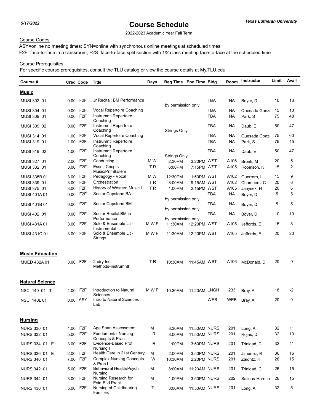2022-2023 Academic Year Fall Term

## Course Codes

ASY=online no meeting times; SYN=online with synchronous online meetings at scheduled times; F2F=face-to-face in a classroom; F2S=face-to-face split section with 1/2 class meeting face-to-face at the scheduled time

## Course Prerequisites

| Course #               |          | <b>Cred Code</b> | Title                                                 | <b>Days</b>    | Beg Time End Time Bldg |                     |            | Room | Instructor      | Limit | Avail          |
|------------------------|----------|------------------|-------------------------------------------------------|----------------|------------------------|---------------------|------------|------|-----------------|-------|----------------|
| <b>Music</b>           |          |                  |                                                       |                |                        |                     |            |      |                 |       |                |
| MUSI 302 01            |          | 0.00 F2F         | Jr Recital: BM Performance                            |                | by permission only     |                     | TBA        | NА   | Boyer, D        | 10    | 10             |
| MUSI 304 01            | 0.00     | F <sub>2</sub> F | Vocal Repertoire Coaching                             |                |                        |                     | <b>TBA</b> | NА   | Quesada Gonza   | 15    | 10             |
| MUSI 309 01            | 0.00     | F <sub>2F</sub>  | Instrumntl Repertoire                                 |                |                        |                     | <b>TBA</b> | NА   | Park, S         | 75    | 48             |
|                        |          |                  | Coaching                                              |                |                        |                     |            |      |                 |       |                |
| MUSI 309 02            | $0.00\,$ | F2F              | Instrumntl Repertoire<br>Coaching                     |                | <b>Strings Only</b>    |                     | TBA        | NА   | Daub, E         | 50    | 47             |
| MUSI 314 01            | 1.00     | F <sub>2</sub> F | Vocal Repertoire Coaching                             |                |                        |                     | TBA        | NA   | Quesada Gonza   | 75    | 60             |
| MUSI 319 01            | 1.00     | F <sub>2</sub> F | Instrumntl Repertoire<br>Coaching                     |                |                        |                     | <b>TBA</b> | NA.  | Park, S         | 75    | 45             |
| MUSI 319 02            | 1.00     | F <sub>2</sub> F | Instrumntl Repertoire<br>Coaching                     |                | <b>Strings Only</b>    |                     | <b>TBA</b> | NА   | Daub, E         | 50    | 47             |
| MUSI 327 01            | 2.00     | F2F              | Conducting I                                          | M W            | 2:30PM                 | 3:20PM WST          |            | A106 | Bronk, M        | 20    | 5              |
| MUSI 332 01            | 3.00     | F <sub>2</sub> F | <b>Essntl Cncpts</b>                                  | T R            | 6:00PM                 | 7:15PM WST          |            | A105 | Robinson, K     | 15    | $\overline{2}$ |
|                        |          |                  | Music/Prim&Elem                                       |                |                        |                     |            |      |                 |       |                |
| <b>MUSI 335B 01</b>    | 3.00     | F <sub>2</sub> F | Pedagogy - Vocal                                      | M W            | 12:30PM                | 1:50PM WST          |            | A102 | Guerrero, L     | 15    | 9              |
| MUSI 339 01            | 3.00     | F <sub>2</sub> F | Orchestration                                         | T <sub>R</sub> | 8:00AM                 | 9:15AM WST          |            | A102 | Chambers, C     | 20    | 6              |
| MUSI 375 01            | 3.00     | F <sub>2F</sub>  | History of Western Music I                            | <b>TR</b>      | 1:00PM                 | 2:15PM WST          |            | A105 | Janysek, H      | 20    | 6              |
| <b>MUSI 401A01</b>     | 0.00     | F <sub>2</sub> F | Senior Capstone BA                                    |                |                        |                     | <b>TBA</b> | NА   | Boyer, D        | 5     | 5              |
|                        |          | F <sub>2</sub> F | Senior Capstone BM                                    |                | by permission only     |                     | TBA        | NА   |                 | 5     | 5              |
| <b>MUSI 401B 01</b>    | 0.00     |                  |                                                       |                | by permission only     |                     |            |      | Boyer, D        |       |                |
| MUSI 402 01            | 0.00     | F <sub>2</sub> F | Senior Recital: BM in                                 |                |                        |                     | <b>TBA</b> | NА   | Boyer, D        | 10    | 10             |
|                        |          |                  | Performance                                           |                | by permission only     |                     |            |      |                 |       |                |
| <b>MUSI 431A01</b>     | 3.00     | F2F              | Solo & Ensemble Lit -<br>Instrumental                 | M W F          | 11:30AM                | 12:20PM WST         |            | A105 | Jeffords, E     | 15    | 8              |
| MUSI 431C 01           | 3.00     | F <sub>2</sub> F | Solo & Ensemble Lit -<br>Strings                      | M W F          | 11:30AM                | 12:20PM WST         |            | A105 | Jeffords, E     | 20    | 20             |
| <b>Music Education</b> |          |                  |                                                       |                |                        |                     |            |      |                 |       |                |
| MUED 432A 01           |          | 3.00 F2F         | 2ndry Instr<br>Methods-Instrumntl                     | ΤR             | 10:30AM                | 11:45AM WST         |            | A106 | McDonald, D     | 20    | 9              |
| <b>Natural Science</b> |          |                  |                                                       |                |                        |                     |            |      |                 |       |                |
| NSCI 140 01 T          |          | 4.00 F2F         | Introduction to Natural                               | M W F          | 10:30AM                | 11:20AM LNGH        |            | 233  | Bray, A         | 18    | -2             |
| <b>NSCI 140L01</b>     |          | 0.00 ASY         | Sciences<br>Intro to Natural Sciences<br>Lab          |                |                        |                     | <b>WEB</b> | WEB  | Bray, A         | 20    | 0              |
| <b>Nursing</b>         |          |                  |                                                       |                |                        |                     |            |      |                 |       |                |
| <b>NURS 330 01</b>     |          | 4.00 F2F         | Age Span Assessment                                   | M              | 8:30AM                 | <b>11:50AM NURS</b> |            | 201  | Long, A         | 32    | 11             |
| <b>NURS 332 01</b>     |          | 5.00 F2F         | <b>Fundamental Nursing</b><br>Concepts & Prac         | $\mathsf R$    | 8:00AM                 | 11:50AM NURS        |            | 201  | Rojas, D        | 32    | 10             |
| NURS 334 01 E          |          | 3.00 F2F         | Evidence-Based Prof                                   | R              | 1:00PM                 | 3:50PM NURS         |            | 201  | Trinidad, C     | 32    | 11             |
| NURS 336 01 E          |          | 2.00 F2F         | Nursing I<br>Health Care in 21st Century              | м              | 2:00PM                 | 3:50PM NURS         |            | 201  | Jimenez, R      | 36    | 16             |
| <b>NURS 340 01</b>     |          | 7.00 F2F         | <b>Complex Nursing Concepts</b><br>& Prac I           | W              | 10:30AM                | 2:20PM NURS         |            | 201  | Zaiontz, R      | 26    | 15             |
| <b>NURS 342 01</b>     |          | 5.00 F2F         | Behavioral Health/Psych<br>Nursing                    | M              | 8:00AM                 | 11:20AM NURS        |            | 201  | Trinidad, C     | 26    | 15             |
| NURS 344 01            |          | 3.00 F2F         | Nursing Research for                                  | м              | 1:00PM                 | 3:50PM NURS         |            | 202  | Salinas-Harriso | 26    | 15             |
| <b>NURS 430 01</b>     |          | 5.00 F2F         | Evid-Bsd Pract<br>Nursing of Childbearing<br>Families | T.             | 8:00AM                 | <b>11:50AM NURS</b> |            | 201  | Long, A         | 32    | 5              |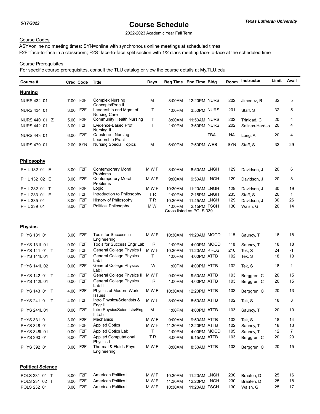2022-2023 Academic Year Fall Term

## Course Codes

ASY=online no meeting times; SYN=online with synchronous online meetings at scheduled times; F2F=face-to-face in a classroom; F2S=face-to-face split section with 1/2 class meeting face-to-face at the scheduled time

## Course Prerequisites

| Course #                 |          | <b>Cred Code</b> | Title                                             | <b>Days</b> |         | Beg Time End Time Bldg   |     | Room       | Instructor      | Limit | Avail          |
|--------------------------|----------|------------------|---------------------------------------------------|-------------|---------|--------------------------|-----|------------|-----------------|-------|----------------|
| <u>Nursing</u>           |          |                  |                                                   |             |         |                          |     |            |                 |       |                |
| NURS 432 01              |          | 7.00 F2F         | <b>Complex Nursing</b><br>Concepts/Prac II        | М           | 8:00AM  | 12:20PM NURS             |     | 202        | Jimenez, R      | 32    | 5              |
| <b>NURS 434 01</b>       |          | 3.00 F2F         | Leadership and Mgmt of<br><b>Nursing Care</b>     | т           | 1:00PM  | 3:50PM NURS              |     | 201        | Staff, S        | 32    | 5              |
| NURS 440 01 Z            |          | 5.00 F2F         | <b>Community Health Nursing</b>                   | T.          | 8:00AM  | 11:50AM NURS             |     | 202        | Trinidad, C     | 20    | 4              |
| <b>NURS 442 01</b>       | 3.00     | F2F              | Evidence-Based Prof                               | T.          | 1:00PM  | 3:50PM NURS              |     | 202        | Salinas-Harriso | 20    | 4              |
| <b>NURS 443 01</b>       | 6.00     | F2F              | Nursing II<br>Capstone - Nursing                  |             |         |                          | TBA | ΝA         | Long, A         | 20    | 4              |
| <b>NURS 479 01</b>       |          | 2.00 SYN         | Leadership Pract<br><b>Nursing Special Topics</b> | М           | 6:00PM  | 7:50PM WEB               |     | <b>SYN</b> | Staff, S        | 32    | 29             |
|                          |          |                  |                                                   |             |         |                          |     |            |                 |       |                |
| <b>Philosophy</b>        |          |                  |                                                   |             |         |                          |     |            |                 |       |                |
| PHIL 132 01 E            |          | 3.00 F2F         | Contemporary Moral<br>Problems                    | M W F       | 8:00AM  | 8:50AM LNGH              |     | 129        | Davidson, J     | 20    | 6              |
| PHIL 132 02 E            |          | 3.00 F2F         | <b>Contemporary Moral</b><br>Problems             | M W F       | 9:00AM  | 9:50AM LNGH              |     | 129        | Davidson, J     | 20    | 8              |
| PHIL 232 01 T            |          | 3.00 F2F         | Logic                                             | M W F       | 10:30AM | 11:20AM LNGH             |     | 129        | Davidson, J     | 30    | 19             |
| PHIL 233 01 E            | 3.00     | F2F              | Introduction to Philosophy                        | T R         | 1:00PM  | 2:15PM LNGH              |     | 235        | Staff, S        | 20    | $\mathbf{1}$   |
| PHIL 335 01              | 3.00     | F <sub>2F</sub>  | History of Philosophy I                           | <b>TR</b>   | 10:30AM | 11:45AM LNGH             |     | 129        | Davidson, J     | 30    | 26             |
| PHIL 339 01              | 3.00     | F2F              | Political Philosophy                              | M W         | 1:00PM  | 2:15PM TSCH              |     | 130        | Walsh, G        | 20    | 14             |
|                          |          |                  |                                                   |             |         | Cross listed as POLS 339 |     |            |                 |       |                |
| <u>Physics</u>           |          |                  |                                                   |             |         |                          |     |            |                 |       |                |
| PHYS 131 01              | 3.00     | F2F              | Tools for Success in<br>Engineering               | M W F       | 10:30AM | 11:20AM MOOD             |     | 118        | Sauncy, T       | 18    | 18             |
| <b>PHYS 131L 01</b>      | $0.00\,$ | F2F              | Tools for Success Engr Lab                        | R           | 1:00PM  | 4:00PM MOOD              |     | 118        | Sauncy, T       | 18    | 18             |
| PHYS 141 01 T            | 4.00     | F2F              | General College Physics I                         | M W F       | 10:30AM | 11:20AM KROS             |     | 210        | Tek, S          | 24    | $-1$           |
| PHYS 141L 01             |          | 0.00 F2F         | General College Physics                           | T           | 1:00PM  | 4:00PM ATTB              |     | 102        | Tek, S          | 18    | 10             |
| PHYS 141L 02             | 0.00     | F2F              | Lab I<br><b>General College Physics</b>           | W           | 1:00PM  | 4:00PM ATTB              |     | 102        | Tek, S          | 18    | 1              |
|                          |          |                  | Lab I                                             |             |         |                          |     |            |                 |       |                |
| PHYS 142 01 T            | 4.00     | F2F              | General College Physics II                        | M W F       | 9:00AM  | 9:50AM ATTB              |     | 103        | Berggren, C     | 20    | 15             |
| PHYS 142L 01             |          | 0.00 F2F         | <b>General College Physics</b><br>Lab II          | R           | 1:00PM  | 4:00PM ATTB              |     | 103        | Berggren, C     | 20    | 15             |
| PHYS 143 01 T            | 4.00     | F2F              | Physics of Modern World<br><b>Issues</b>          | M W F       | 10:30AM | 12:20PM ATTB             |     | 103        | Berggren, C     | 20    | 13             |
| PHYS 241 01 T            | 4.00     | F2F              | Intro Physics/Scientists &<br>Engr II             | M W F       | 8:00AM  | 8:50AM ATTB              |     | 102        | Tek, S          | 18    | 8              |
| PHYS 241L 01             | 0.00     | F2F              | Intro PhysicsScientists/Engr<br>II Lab            | M           | 1:00PM  | 4:00PM ATTB              |     | 103        | Sauncy, T       | 20    | 10             |
| PHYS 331 01              |          | 3.00 F2F         | Mechanics                                         | M W F       | 9:00AM  | 9:50AM ATTB              |     | 102        | Tek, S          | 18    | 14             |
| PHYS 348 01              |          | 4.00 F2F         | <b>Applied Optics</b>                             | M W F       | 11:30AM | 12:20PM ATTB             |     | 102        | Sauncy, T       | 18    | 13             |
| PHYS 348L 01             |          | 0.00 F2F         | Applied Optics Lab                                | T.          | 1:00PM  | 4:00PM MOOD              |     | 105        | Sauncy, T       | 12    | $\overline{7}$ |
| PHYS 390 01              |          | 3.00 F2F         | <b>Applied Computational</b><br>Physics I         | TR.         | 8:00AM  | 9:15AM ATTB              |     | 103        | Berggren, C     | 20    | 20             |
| PHYS 392 01              |          | 3.00 F2F         | Thermal & Fluids Phys<br>Engineering              | M W F       | 8:00AM  | 8:50AM ATTB              |     | 103        | Berggren, C     | 20    | 15             |
| <b>Political Science</b> |          |                  |                                                   |             |         |                          |     |            |                 |       |                |
| POLS 231 01 T            |          | 3.00 F2F         | <b>American Politics I</b>                        | M W F       | 10:30AM | 11:20AM LNGH             |     | 230        | Braaten, D      | 25    | 16             |
| POLS 231 02 T            | 3.00     | F <sub>2</sub> F | <b>American Politics I</b>                        | M W F       | 11:30AM | 12:20PM LNGH             |     | 230        | Braaten, D      | 25    | 18             |
| POLS 232 01              |          | 3.00 F2F         | <b>American Politics II</b>                       | M W F       | 10:30AM | 11:20AM TSCH             |     | 130        | Walsh, G        | 25    | 17             |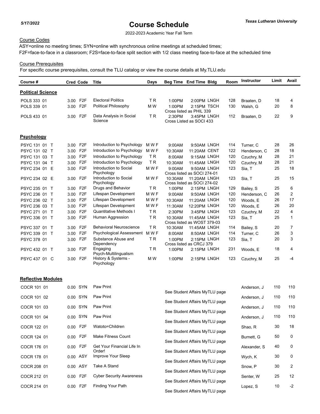2022-2023 Academic Year Fall Term

## Course Codes

ASY=online no meeting times; SYN=online with synchronous online meetings at scheduled times; F2F=face-to-face in a classroom; F2S=face-to-face split section with 1/2 class meeting face-to-face at the scheduled time

## Course Prerequisites

For specific course prerequisites, consult the TLU catalog or view the course details at My.TLU.edu

| Course #                 | <b>Cred Code</b>         | <b>Title</b>                                    | Days           |         | Beg Time End Time Bldg                      | Room | <b>Instructor</b> | Limit | Avail          |
|--------------------------|--------------------------|-------------------------------------------------|----------------|---------|---------------------------------------------|------|-------------------|-------|----------------|
| <b>Political Science</b> |                          |                                                 |                |         |                                             |      |                   |       |                |
| POLS 333 01              | 3.00 F2F                 | <b>Electoral Politics</b>                       | <b>TR</b>      | 1:00PM  | 2:00PM LNGH                                 | 128  | Braaten. D        | 18    | 4              |
| POLS 339 01              | F <sub>2F</sub><br>3.00  | Political Philosophy                            | M W            | 1:00PM  | 2:15PM TSCH                                 | 130  | Walsh, G          | 20    | 8              |
|                          |                          |                                                 |                |         | Cross listed as PHIL 339                    |      |                   |       |                |
| POLS 433 01              | F <sub>2</sub> F<br>3.00 | Data Analysis in Social<br>Science              | T <sub>R</sub> | 2:30PM  | 3:45PM LNGH<br>Cross Listed as SOCI 433     | 112  | Braaten, D        | 22    | 9              |
| <b>Psychology</b>        |                          |                                                 |                |         |                                             |      |                   |       |                |
| PSYC 131 01 T            | F <sub>2</sub> F<br>3.00 | Introduction to Psychology                      | M W F          | 9:00AM  | 9:50AM LNGH                                 | 114  | Turner, C         | 28    | 26             |
| PSYC 131 02 T            | F <sub>2</sub> F<br>3.00 | Introduction to Psychology                      | M W F          | 10:30AM | 11:20AM CENT                                | 122  | Henderson, C      | 28    | 18             |
| PSYC 131 03 T            | F <sub>2</sub> F<br>3.00 | Introduction to Psychology                      | T <sub>R</sub> | 8:00AM  | 9:15AM LNGH                                 | 120  | Czuchry, M        | 28    | 21             |
| PSYC 131 04 T            | F <sub>2</sub> F<br>3.00 | Introduction to Psychology                      | T <sub>R</sub> | 10:30AM | 11:45AM LNGH                                | 120  | Czuchry, M        | 28    | 21             |
| PSYC 234 01 E            | F <sub>2</sub> F<br>3.00 | Introduction to Social<br>Psychology            | M W F          | 9:00AM  | 9:50AM LNGH<br>Cross listed as SOCI 274-01  | 123  | Sia, T            | 25    | 18             |
| PSYC 234 02 E            | F <sub>2F</sub><br>3.00  | Introduction to Social<br>Psychology            | M W F          | 10:30AM | 11:20AM LNGH<br>Cross listed as SOCI 274-02 | 123  | Sia, T            | 25    | 15             |
| PSYC 235 01 T            | F <sub>2</sub> F<br>3.00 | Drugs and Behavior                              | <b>TR</b>      | 1:00PM  | 2:15PM LNGH                                 | 129  | Bailey, S         | 25    | 6              |
| PSYC 236 01 T            | F <sub>2F</sub><br>3.00  | Lifespan Development                            | M W F          | 9:00AM  | 9:50AM LNGH                                 | 120  | Henderson, C      | 26    | $\overline{2}$ |
| PSYC 236 02 T            | F <sub>2F</sub><br>3.00  | Lifespan Development                            | M W F          | 10:30AM | 11:20AM LNGH                                | 120  | Woods. E          | 26    | 17             |
| PSYC 236 03 T            | F <sub>2F</sub><br>3.00  | Lifespan Development                            | M W F          | 11:30AM | 12:20PM LNGH                                | 120  | Woods. E          | 26    | 20             |
| PSYC 271 01 T            | F <sub>2F</sub><br>3.00  | <b>Quantitative Methods I</b>                   | T <sub>R</sub> | 2:30PM  | 3:45PM LNGH                                 | 123  | Czuchry, M        | 22    | $\overline{4}$ |
| PSYC 336 01 T            | F <sub>2F</sub><br>3.00  | Human Aggression                                | T <sub>R</sub> | 10:30AM | 11:45AM LNGH<br>Cross listed as WOST 379-03 | 123  | Sia, T            | 25    | $\mathbf{1}$   |
| PSYC 337 01 T            | F <sub>2</sub> F<br>3.00 | <b>Behavioral Neuroscience</b>                  | T <sub>R</sub> | 10:30AM | 11:45AM LNGH                                | 114  | Bailey, S         | 20    | $\overline{7}$ |
| PSYC 339 01 T            | F <sub>2F</sub><br>3.00  | Psychological Assessment                        | M W F          | 8:00AM  | 8:50AM LNGH                                 | 114  | Turner, C         | 26    | 3              |
| PSYC 378 01              | F <sub>2F</sub><br>3.00  | Substance Abuse and                             | <b>TR</b>      | 1:00PM  | 2:15PM LNGH                                 | 123  | Sia, T            | 20    | 3              |
| PSYC 432 01 T            | 3.00 F2F                 | Dependency<br>Engaging<br>Psych-Multilingualism | T <sub>R</sub> | 1:00PM  | Cross listed as CRCJ 379<br>2:15PM LNGH     | 231  | Woods, E          | 18    | 4              |
| PSYC 437 01 C            | 3.00 F2F                 | History & Systems -<br>Psychology               | M W            | 1:00PM  | 2:15PM LNGH                                 | 123  | Czuchry, M        | 25    | $-4$           |
|                          |                          |                                                 |                |         |                                             |      |                   |       |                |

## **Reflective Modules**

| COCR 101 01 | 0.00 SYN | Paw Print                       |                                | Anderson, J  | 110 | 110         |
|-------------|----------|---------------------------------|--------------------------------|--------------|-----|-------------|
| COCR 101 02 | 0.00 SYN | Paw Print                       | See Student Affairs MyTLU page | Anderson, J  | 110 | 110         |
|             |          |                                 | See Student Affairs MyTLU page |              |     |             |
| COCR 101 03 | 0.00 SYN | Paw Print                       | See Student Affairs MyTLU page | Anderson, J  | 110 | 110         |
| COCR 101 04 | 0.00 SYN | Paw Print                       |                                | Anderson, J  | 110 | 110         |
| COCR 122 01 | 0.00 F2F | Watoto=Children                 | See Student Affairs MyTLU page |              | 30  | 18          |
|             |          |                                 | See Student Affairs MyTLU page | Shao, R      |     |             |
| COCR 124 01 | 0.00 F2F | Make Fitness Count              | See Student Affairs MyTLU page | Burnett, G   | 50  | $\mathbf 0$ |
| COCR 176 01 | 0.00 F2F | Get Your Financial Life In      |                                | Alexander, S | 40  | $\mathbf 0$ |
|             | 0.00 ASY | Order!<br>Improve Your Sleep    | See Student Affairs MyTLU page |              | 30  | $\mathbf 0$ |
| COCR 178 01 |          |                                 | See Student Affairs MyTLU page | Wych, K      |     |             |
| COCR 208 01 | 0.00 ASY | Take A Stand                    | See Student Affairs MyTLU page | Snow, P      | 30  | 2           |
| COCR 212 01 | 0.00 F2F | <b>Cyber Security Awareness</b> |                                | Senter, W    | 25  | 12          |
| COCR 214 01 | 0.00 F2F | Finding Your Path               | See Student Affairs MyTLU page |              | 10  | $-2$        |
|             |          |                                 | See Student Affairs MyTLU page | Lopez, S     |     |             |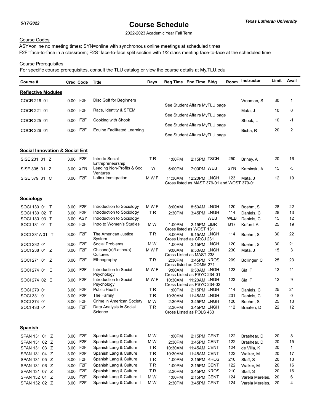2022-2023 Academic Year Fall Term

## Course Codes

ASY=online no meeting times; SYN=online with synchronous online meetings at scheduled times; F2F=face-to-face in a classroom; F2S=face-to-face split section with 1/2 class meeting face-to-face at the scheduled time

## Course Prerequisites

| Course #                                  | <b>Cred Code</b> |                  | Title                                         | <b>Days</b> |         | Beg Time End Time Bldg                                      |     | Room       | Instructor      | Limit | Avail        |
|-------------------------------------------|------------------|------------------|-----------------------------------------------|-------------|---------|-------------------------------------------------------------|-----|------------|-----------------|-------|--------------|
| <b>Reflective Modules</b>                 |                  |                  |                                               |             |         |                                                             |     |            |                 |       |              |
| COCR 216 01                               | 0.00 F2F         |                  | Disc Golf for Beginners                       |             |         |                                                             |     |            | Vrooman, S      | 30    | 1            |
| COCR 221 01                               | 0.00             | F <sub>2</sub> F | Race, Identity & STEM                         |             |         | See Student Affairs MyTLU page                              |     |            | Mata, J         | 10    | 0            |
| COCR 225 01                               | 0.00             | F <sub>2</sub> F | Cooking with Shook                            |             |         | See Student Affairs MyTLU page                              |     |            | Shook, L        | 10    | -1           |
| COCR 226 01                               | 0.00 F2F         |                  | <b>Equine Facilitated Learning</b>            |             |         | See Student Affairs MyTLU page                              |     |            | Bisha, R        | 20    | 2            |
|                                           |                  |                  |                                               |             |         | See Student Affairs MyTLU page                              |     |            |                 |       |              |
| <b>Social Innovation &amp; Social Ent</b> |                  |                  |                                               |             |         |                                                             |     |            |                 |       |              |
| SISE 231 01 Z                             | 3.00 F2F         |                  | Intro to Social                               | T R         | 1:00PM  | 2:15PM TSCH                                                 |     | 250        | Briney, A       | 20    | 16           |
| SISE 335 01 Z                             | 3.00 SYN         |                  | Entrepreneurship<br>Leading Non-Profits & Soc | W           | 6:00PM  | 7:00PM WEB                                                  |     | SYN        | Kaminski, A     | 15    | -3           |
| SISE 379 01 C                             | 3.00 F2F         |                  | Ventures<br>Latinx Immigration                | M W F       | 11:30AM | 12:20PM LNGH<br>Cross listed as MAST 379-01 and WOST 379-01 |     | 123        | Mata, J         | 12    | 10           |
|                                           |                  |                  |                                               |             |         |                                                             |     |            |                 |       |              |
| Sociology                                 |                  |                  |                                               |             |         |                                                             |     |            |                 |       |              |
| SOCI 130 01 T                             | 3.00 F2F         |                  | Introduction to Sociology                     | M W F       | 8:00AM  | 8:50AM LNGH                                                 |     | 120        | Boehm, S        | 28    | 22           |
| SOCI 130 02 T                             | 3.00 F2F         |                  | Introduction to Sociology                     | T R         | 2:30PM  | 3:45PM LNGH                                                 |     | 114        | Daniels, C      | 28    | 13           |
| SOCI 130 03 T                             | 3.00 ASY         |                  | Introduction to Sociology                     |             |         |                                                             | WEB | <b>WEB</b> | Daniels, C      | 15    | 12           |
| SOCI 131 01 T                             | 3.00 F2F         |                  | Intro to Women's Studies                      | M W         | 1:00PM  | 2:15PM LIBR<br>Cross listed as WOST 131                     |     | B17        | Koford, A       | 25    | 19           |
| SOCI 231A 01 T                            | 3.00             | F <sub>2</sub> F | The American Justice<br>System                | T R         | 8:00AM  | 9:15AM LNGH<br>Cross Listed as CRCJ 231                     |     | 114        | Boehm, S        | 30    | 22           |
| SOCI 232 01                               | 3.00 F2F         |                  | Social Problems                               | M W         | 1:00PM  | 2:15PM LNGH                                                 |     | 120        | Boehm, S        | 30    | 21           |
| SOCI 238 01 Z                             | 3.00 F2F         |                  | Chicano(a)/Latino(a)<br>Cultures              | M W F       | 9:00AM  | 9:50AM LNGH<br>Cross Listed as MAST 238                     |     | 230        | Mata, J         | 15    | 3            |
| SOCI 271 01 Z                             | 3.00 F2F         |                  | Ethnography                                   | T R         | 2:30PM  | 3:45PM KROS<br>Cross listed as COMM 271                     |     | 209        | Bollinger, C    | 25    | 23           |
| SOCI 274 01 E                             | 3.00 F2F         |                  | Introduction to Social<br>Psychology          | M W F       | 9:00AM  | 9:50AM LNGH<br>Cross Listed as PSYC 234-01                  |     | 123        | Sia, T          | 12    | 11           |
| SOCI 274 02 E                             | 3.00             | F <sub>2</sub> F | Introduction to Social<br>Psychology          | M W F       | 10:30AM | 11:20AM LNGH<br>Cross Listed as PSYC 234-02                 |     | 123        | Sia, T          | 12    | 9            |
| SOCI 279 01                               | 3.00             | F2F              | Public Health                                 | T R         | 1:00PM  | 2:15PM LNGH                                                 |     | 114        | Daniels, C      | 25    | 21           |
| SOCI 331 01                               | 3.00             | F <sub>2</sub> F | The Family                                    | <b>TR</b>   | 10:30AM | 11:45AM LNGH                                                |     | 231        | Daniels, C      | 18    | 0            |
| SOCI 374 01                               | 3.00             | F <sub>2</sub> F | Crime in American Society                     | M W         | 2:30PM  | 3:45PM LNGH                                                 |     | 120        | Boehm, S        | 25    | 13           |
| SOCI 433 01                               | 3.00 F2F         |                  | Data Analysis in Social<br>Science            | ΤR          | 2:30PM  | 3:45PM LNGH<br>Cross Listed as POLS 433                     |     | 112        | Braaten, D      | 22    | 12           |
| <b>Spanish</b>                            |                  |                  |                                               |             |         |                                                             |     |            |                 |       |              |
| SPAN 131 01 Z                             | 3.00 F2F         |                  | Spanish Lang & Culture I                      | M W         | 1:00PM  | 2:15PM CENT                                                 |     | 122        | Brashear, D     | 20    | 8            |
| SPAN 131 02 Z                             | 3.00 F2F         |                  | Spanish Lang & Culture I                      | M W         | 2:30PM  | 3:45PM CENT                                                 |     | 122        | Brashear, D     | 20    | 15           |
| SPAN 131 03 Z                             | 3.00 F2F         |                  | Spanish Lang & Culture I                      | TR          | 10:30AM | 11:45AM CENT                                                |     | 124        | de Villa, K     | 20    | $\mathbf{1}$ |
| SPAN 131 04 Z                             | 3.00 F2F         |                  | Spanish Lang & Culture I                      | <b>TR</b>   | 10:30AM | 11:45AM CENT                                                |     | 122        | Walker, M       | 20    | 17           |
| SPAN 131 05 Z                             | 3.00 F2F         |                  | Spanish Lang & Culture I                      | <b>TR</b>   | 1:00PM  | 2:15PM KROS                                                 |     | 210        | Staff, S        | 20    | 13           |
| SPAN 131 06 Z                             | 3.00 F2F         |                  | Spanish Lang & Culture I                      | TR.         | 1:00PM  | 2:15PM CENT                                                 |     | 122        | Walker, M       | 20    | 16           |
| SPAN 131 07 Z                             | 3.00             | F <sub>2F</sub>  | Spanish Lang & Culture I                      | TR          | 2:30PM  | 3:45PM KROS                                                 |     | 210        | Staff, S        | 20    | 16           |
| SPAN 132 01 Z                             | 3.00             | F <sub>2</sub> F | Spanish Lang & Culture II                     | M W         | 1:00PM  | 2:15PM CENT                                                 |     | 124        | Varela Mereles, | 20    | 6            |
| SPAN 132 02 Z                             | 3.00 F2F         |                  | Spanish Lang & Culture II                     | M W         | 2:30PM  | 3:45PM CENT                                                 |     | 124        | Varela Mereles, | 20    | 4            |